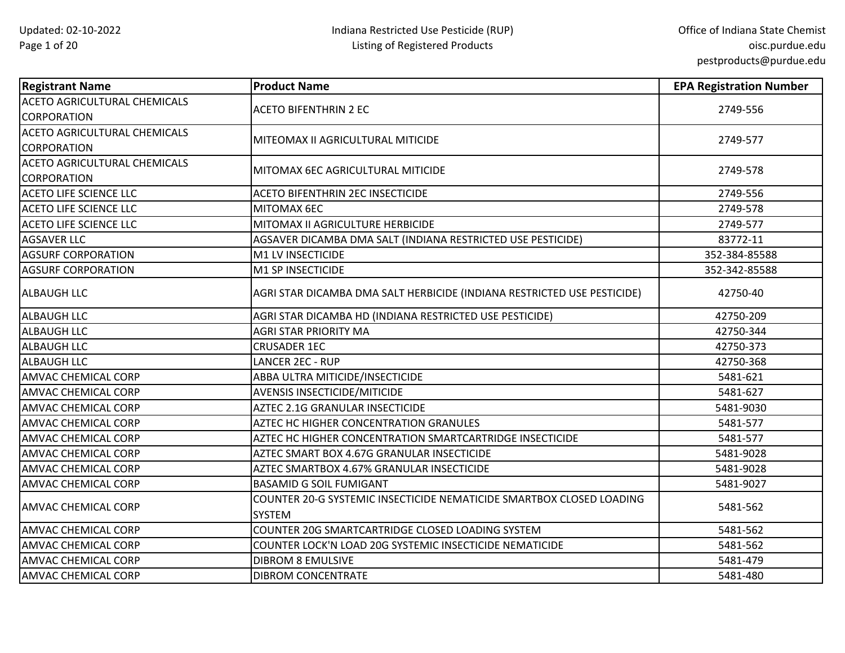| <b>Registrant Name</b>                                    | <b>Product Name</b>                                                                   | <b>EPA Registration Number</b> |
|-----------------------------------------------------------|---------------------------------------------------------------------------------------|--------------------------------|
| <b>ACETO AGRICULTURAL CHEMICALS</b><br><b>CORPORATION</b> | <b>ACETO BIFENTHRIN 2 EC</b>                                                          | 2749-556                       |
| <b>ACETO AGRICULTURAL CHEMICALS</b><br><b>CORPORATION</b> | MITEOMAX II AGRICULTURAL MITICIDE                                                     | 2749-577                       |
| <b>ACETO AGRICULTURAL CHEMICALS</b><br><b>CORPORATION</b> | MITOMAX 6EC AGRICULTURAL MITICIDE                                                     | 2749-578                       |
| <b>ACETO LIFE SCIENCE LLC</b>                             | ACETO BIFENTHRIN 2EC INSECTICIDE                                                      | 2749-556                       |
| <b>ACETO LIFE SCIENCE LLC</b>                             | MITOMAX 6EC                                                                           | 2749-578                       |
| <b>ACETO LIFE SCIENCE LLC</b>                             | MITOMAX II AGRICULTURE HERBICIDE                                                      | 2749-577                       |
| <b>AGSAVER LLC</b>                                        | AGSAVER DICAMBA DMA SALT (INDIANA RESTRICTED USE PESTICIDE)                           | 83772-11                       |
| <b>AGSURF CORPORATION</b>                                 | M1 LV INSECTICIDE                                                                     | 352-384-85588                  |
| <b>AGSURF CORPORATION</b>                                 | M1 SP INSECTICIDE                                                                     | 352-342-85588                  |
| <b>ALBAUGH LLC</b>                                        | AGRI STAR DICAMBA DMA SALT HERBICIDE (INDIANA RESTRICTED USE PESTICIDE)               | 42750-40                       |
| <b>ALBAUGH LLC</b>                                        | AGRI STAR DICAMBA HD (INDIANA RESTRICTED USE PESTICIDE)                               | 42750-209                      |
| <b>ALBAUGH LLC</b>                                        | <b>AGRI STAR PRIORITY MA</b>                                                          | 42750-344                      |
| <b>ALBAUGH LLC</b>                                        | <b>CRUSADER 1EC</b>                                                                   | 42750-373                      |
| <b>ALBAUGH LLC</b>                                        | <b>LANCER 2EC - RUP</b>                                                               | 42750-368                      |
| AMVAC CHEMICAL CORP                                       | ABBA ULTRA MITICIDE/INSECTICIDE                                                       | 5481-621                       |
| <b>AMVAC CHEMICAL CORP</b>                                | <b>AVENSIS INSECTICIDE/MITICIDE</b>                                                   | 5481-627                       |
| <b>AMVAC CHEMICAL CORP</b>                                | AZTEC 2.1G GRANULAR INSECTICIDE                                                       | 5481-9030                      |
| AMVAC CHEMICAL CORP                                       | AZTEC HC HIGHER CONCENTRATION GRANULES                                                | 5481-577                       |
| AMVAC CHEMICAL CORP                                       | AZTEC HC HIGHER CONCENTRATION SMARTCARTRIDGE INSECTICIDE                              | 5481-577                       |
| AMVAC CHEMICAL CORP                                       | AZTEC SMART BOX 4.67G GRANULAR INSECTICIDE                                            | 5481-9028                      |
| <b>AMVAC CHEMICAL CORP</b>                                | AZTEC SMARTBOX 4.67% GRANULAR INSECTICIDE                                             | 5481-9028                      |
| AMVAC CHEMICAL CORP                                       | <b>BASAMID G SOIL FUMIGANT</b>                                                        | 5481-9027                      |
| <b>AMVAC CHEMICAL CORP</b>                                | COUNTER 20-G SYSTEMIC INSECTICIDE NEMATICIDE SMARTBOX CLOSED LOADING<br><b>SYSTEM</b> | 5481-562                       |
| <b>AMVAC CHEMICAL CORP</b>                                | COUNTER 20G SMARTCARTRIDGE CLOSED LOADING SYSTEM                                      | 5481-562                       |
| AMVAC CHEMICAL CORP                                       | COUNTER LOCK'N LOAD 20G SYSTEMIC INSECTICIDE NEMATICIDE                               | 5481-562                       |
| AMVAC CHEMICAL CORP                                       | <b>DIBROM 8 EMULSIVE</b>                                                              | 5481-479                       |
| <b>AMVAC CHEMICAL CORP</b>                                | <b>DIBROM CONCENTRATE</b>                                                             | 5481-480                       |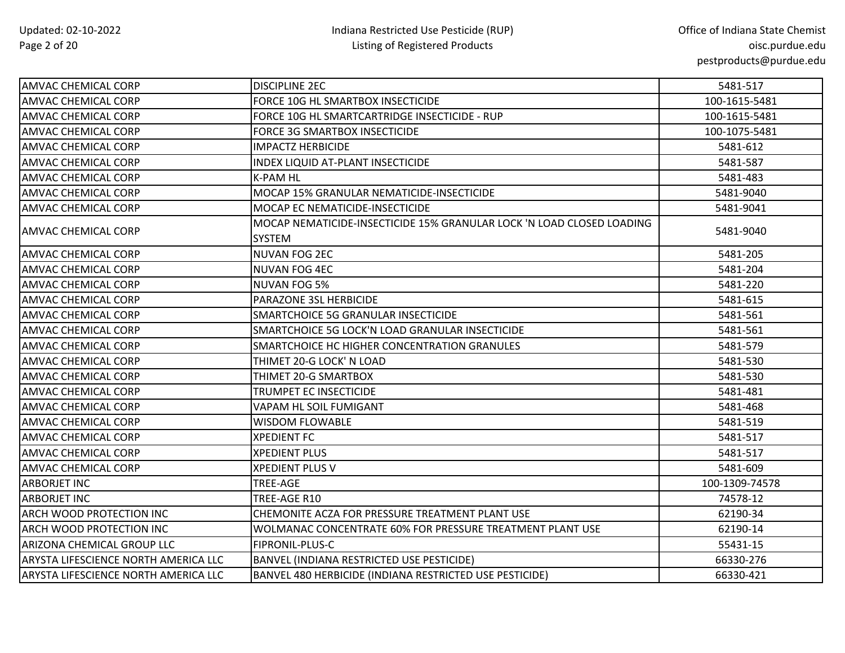| <b>AMVAC CHEMICAL CORP</b>           | <b>DISCIPLINE 2EC</b>                                                                  | 5481-517       |
|--------------------------------------|----------------------------------------------------------------------------------------|----------------|
| AMVAC CHEMICAL CORP                  | FORCE 10G HL SMARTBOX INSECTICIDE                                                      | 100-1615-5481  |
| <b>AMVAC CHEMICAL CORP</b>           | FORCE 10G HL SMARTCARTRIDGE INSECTICIDE - RUP                                          | 100-1615-5481  |
| <b>AMVAC CHEMICAL CORP</b>           | <b>FORCE 3G SMARTBOX INSECTICIDE</b>                                                   | 100-1075-5481  |
| <b>AMVAC CHEMICAL CORP</b>           | <b>IMPACTZ HERBICIDE</b>                                                               | 5481-612       |
| <b>AMVAC CHEMICAL CORP</b>           | <b>INDEX LIQUID AT-PLANT INSECTICIDE</b>                                               | 5481-587       |
| <b>AMVAC CHEMICAL CORP</b>           | K-PAM HL                                                                               | 5481-483       |
| <b>AMVAC CHEMICAL CORP</b>           | MOCAP 15% GRANULAR NEMATICIDE-INSECTICIDE                                              | 5481-9040      |
| <b>AMVAC CHEMICAL CORP</b>           | MOCAP EC NEMATICIDE-INSECTICIDE                                                        | 5481-9041      |
| <b>AMVAC CHEMICAL CORP</b>           | MOCAP NEMATICIDE-INSECTICIDE 15% GRANULAR LOCK 'N LOAD CLOSED LOADING<br><b>SYSTEM</b> | 5481-9040      |
| AMVAC CHEMICAL CORP                  | <b>NUVAN FOG 2EC</b>                                                                   | 5481-205       |
| <b>AMVAC CHEMICAL CORP</b>           | NUVAN FOG 4EC                                                                          | 5481-204       |
| <b>AMVAC CHEMICAL CORP</b>           | <b>NUVAN FOG 5%</b>                                                                    | 5481-220       |
| <b>AMVAC CHEMICAL CORP</b>           | PARAZONE 3SL HERBICIDE                                                                 | 5481-615       |
| <b>AMVAC CHEMICAL CORP</b>           | SMARTCHOICE 5G GRANULAR INSECTICIDE                                                    | 5481-561       |
| <b>AMVAC CHEMICAL CORP</b>           | SMARTCHOICE 5G LOCK'N LOAD GRANULAR INSECTICIDE                                        | 5481-561       |
| <b>AMVAC CHEMICAL CORP</b>           | SMARTCHOICE HC HIGHER CONCENTRATION GRANULES                                           | 5481-579       |
| <b>AMVAC CHEMICAL CORP</b>           | THIMET 20-G LOCK' N LOAD                                                               | 5481-530       |
| <b>AMVAC CHEMICAL CORP</b>           | THIMET 20-G SMARTBOX                                                                   | 5481-530       |
| <b>AMVAC CHEMICAL CORP</b>           | <b>TRUMPET EC INSECTICIDE</b>                                                          | 5481-481       |
| <b>AMVAC CHEMICAL CORP</b>           | VAPAM HL SOIL FUMIGANT                                                                 | 5481-468       |
| <b>AMVAC CHEMICAL CORP</b>           | <b>WISDOM FLOWABLE</b>                                                                 | 5481-519       |
| <b>AMVAC CHEMICAL CORP</b>           | <b>XPEDIENT FC</b>                                                                     | 5481-517       |
| <b>AMVAC CHEMICAL CORP</b>           | <b>XPEDIENT PLUS</b>                                                                   | 5481-517       |
| <b>AMVAC CHEMICAL CORP</b>           | <b>XPEDIENT PLUS V</b>                                                                 | 5481-609       |
| <b>ARBORJET INC</b>                  | TREE-AGE                                                                               | 100-1309-74578 |
| <b>ARBORJET INC</b>                  | TREE-AGE R10                                                                           | 74578-12       |
| ARCH WOOD PROTECTION INC             | CHEMONITE ACZA FOR PRESSURE TREATMENT PLANT USE                                        | 62190-34       |
| ARCH WOOD PROTECTION INC             | WOLMANAC CONCENTRATE 60% FOR PRESSURE TREATMENT PLANT USE                              | 62190-14       |
| ARIZONA CHEMICAL GROUP LLC           | FIPRONIL-PLUS-C                                                                        | 55431-15       |
| ARYSTA LIFESCIENCE NORTH AMERICA LLC | BANVEL (INDIANA RESTRICTED USE PESTICIDE)                                              | 66330-276      |
| ARYSTA LIFESCIENCE NORTH AMERICA LLC | BANVEL 480 HERBICIDE (INDIANA RESTRICTED USE PESTICIDE)                                | 66330-421      |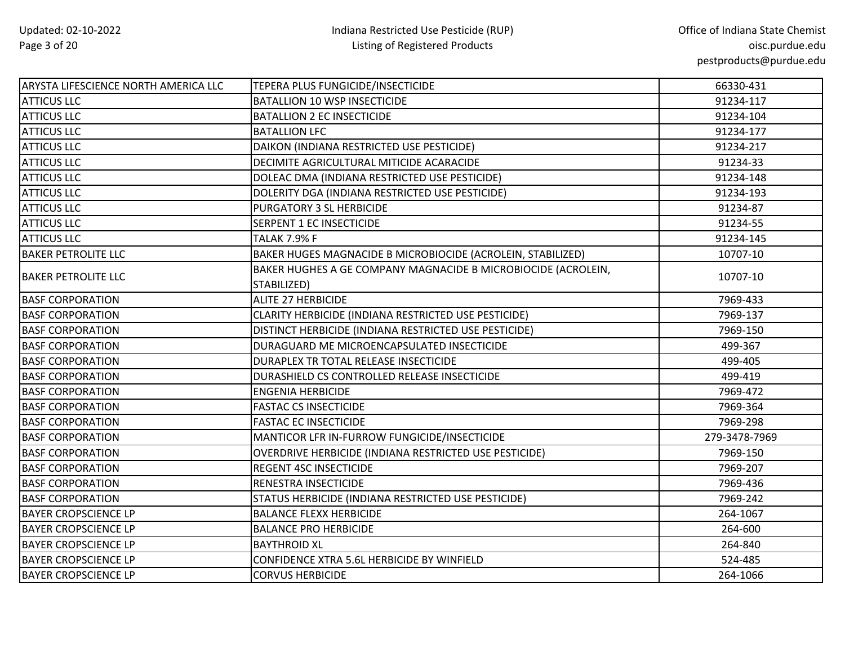| <b>ARYSTA LIFESCIENCE NORTH AMERICA LLC</b> | TEPERA PLUS FUNGICIDE/INSECTICIDE                                            | 66330-431     |
|---------------------------------------------|------------------------------------------------------------------------------|---------------|
| <b>ATTICUS LLC</b>                          | <b>BATALLION 10 WSP INSECTICIDE</b>                                          | 91234-117     |
| <b>ATTICUS LLC</b>                          | <b>BATALLION 2 EC INSECTICIDE</b>                                            | 91234-104     |
| <b>ATTICUS LLC</b>                          | <b>BATALLION LFC</b>                                                         | 91234-177     |
| <b>ATTICUS LLC</b>                          | DAIKON (INDIANA RESTRICTED USE PESTICIDE)                                    | 91234-217     |
| <b>ATTICUS LLC</b>                          | DECIMITE AGRICULTURAL MITICIDE ACARACIDE                                     | 91234-33      |
| <b>ATTICUS LLC</b>                          | DOLEAC DMA (INDIANA RESTRICTED USE PESTICIDE)                                | 91234-148     |
| <b>ATTICUS LLC</b>                          | DOLERITY DGA (INDIANA RESTRICTED USE PESTICIDE)                              | 91234-193     |
| <b>ATTICUS LLC</b>                          | PURGATORY 3 SL HERBICIDE                                                     | 91234-87      |
| <b>ATTICUS LLC</b>                          | SERPENT 1 EC INSECTICIDE                                                     | 91234-55      |
| <b>ATTICUS LLC</b>                          | <b>TALAK 7.9% F</b>                                                          | 91234-145     |
| <b>BAKER PETROLITE LLC</b>                  | BAKER HUGES MAGNACIDE B MICROBIOCIDE (ACROLEIN, STABILIZED)                  | 10707-10      |
| <b>BAKER PETROLITE LLC</b>                  | BAKER HUGHES A GE COMPANY MAGNACIDE B MICROBIOCIDE (ACROLEIN,<br>STABILIZED) | 10707-10      |
| <b>BASF CORPORATION</b>                     | <b>ALITE 27 HERBICIDE</b>                                                    | 7969-433      |
| <b>BASF CORPORATION</b>                     | CLARITY HERBICIDE (INDIANA RESTRICTED USE PESTICIDE)                         | 7969-137      |
| <b>BASF CORPORATION</b>                     | DISTINCT HERBICIDE (INDIANA RESTRICTED USE PESTICIDE)                        | 7969-150      |
| <b>BASF CORPORATION</b>                     | DURAGUARD ME MICROENCAPSULATED INSECTICIDE                                   | 499-367       |
| <b>BASF CORPORATION</b>                     | DURAPLEX TR TOTAL RELEASE INSECTICIDE                                        | 499-405       |
| <b>BASF CORPORATION</b>                     | DURASHIELD CS CONTROLLED RELEASE INSECTICIDE                                 | 499-419       |
| <b>BASF CORPORATION</b>                     | <b>ENGENIA HERBICIDE</b>                                                     | 7969-472      |
| <b>BASF CORPORATION</b>                     | <b>FASTAC CS INSECTICIDE</b>                                                 | 7969-364      |
| <b>BASF CORPORATION</b>                     | <b>FASTAC EC INSECTICIDE</b>                                                 | 7969-298      |
| <b>BASF CORPORATION</b>                     | MANTICOR LFR IN-FURROW FUNGICIDE/INSECTICIDE                                 | 279-3478-7969 |
| <b>BASF CORPORATION</b>                     | OVERDRIVE HERBICIDE (INDIANA RESTRICTED USE PESTICIDE)                       | 7969-150      |
| <b>BASF CORPORATION</b>                     | REGENT 4SC INSECTICIDE                                                       | 7969-207      |
| <b>BASF CORPORATION</b>                     | RENESTRA INSECTICIDE                                                         | 7969-436      |
| <b>BASF CORPORATION</b>                     | STATUS HERBICIDE (INDIANA RESTRICTED USE PESTICIDE)                          | 7969-242      |
| <b>BAYER CROPSCIENCE LP</b>                 | <b>BALANCE FLEXX HERBICIDE</b>                                               | 264-1067      |
| <b>BAYER CROPSCIENCE LP</b>                 | <b>BALANCE PRO HERBICIDE</b>                                                 | 264-600       |
| <b>BAYER CROPSCIENCE LP</b>                 | <b>BAYTHROID XL</b>                                                          | 264-840       |
| <b>BAYER CROPSCIENCE LP</b>                 | CONFIDENCE XTRA 5.6L HERBICIDE BY WINFIELD                                   | 524-485       |
| <b>BAYER CROPSCIENCE LP</b>                 | <b>CORVUS HERBICIDE</b>                                                      | 264-1066      |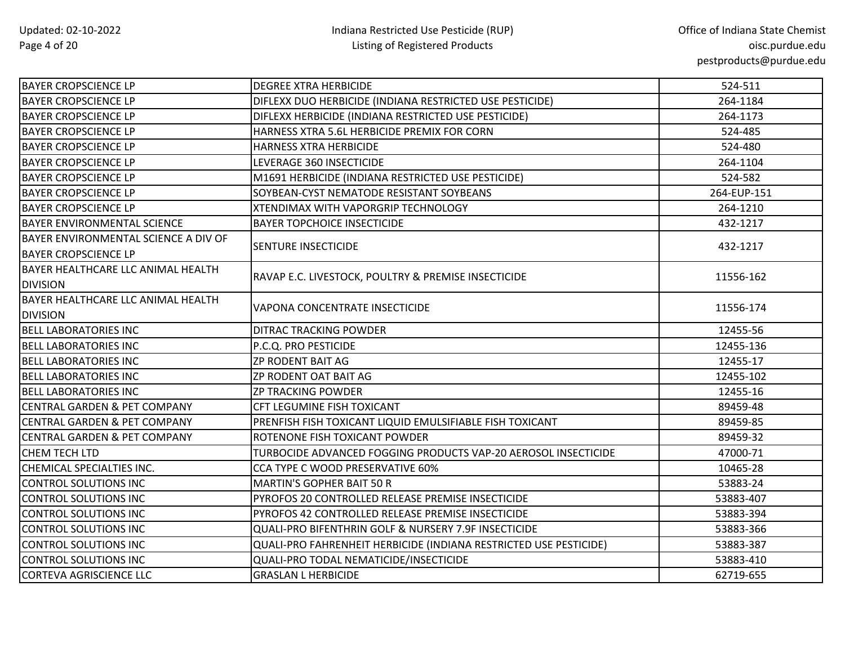| <b>BAYER CROPSCIENCE LP</b>                                         | <b>DEGREE XTRA HERBICIDE</b>                                      | 524-511     |
|---------------------------------------------------------------------|-------------------------------------------------------------------|-------------|
| <b>BAYER CROPSCIENCE LP</b>                                         | DIFLEXX DUO HERBICIDE (INDIANA RESTRICTED USE PESTICIDE)          | 264-1184    |
| <b>BAYER CROPSCIENCE LP</b>                                         | DIFLEXX HERBICIDE (INDIANA RESTRICTED USE PESTICIDE)              | 264-1173    |
| <b>BAYER CROPSCIENCE LP</b>                                         | HARNESS XTRA 5.6L HERBICIDE PREMIX FOR CORN                       | 524-485     |
| <b>BAYER CROPSCIENCE LP</b>                                         | HARNESS XTRA HERBICIDE                                            | 524-480     |
| <b>BAYER CROPSCIENCE LP</b>                                         | LEVERAGE 360 INSECTICIDE                                          | 264-1104    |
| <b>BAYER CROPSCIENCE LP</b>                                         | M1691 HERBICIDE (INDIANA RESTRICTED USE PESTICIDE)                | 524-582     |
| <b>BAYER CROPSCIENCE LP</b>                                         | SOYBEAN-CYST NEMATODE RESISTANT SOYBEANS                          | 264-EUP-151 |
| <b>BAYER CROPSCIENCE LP</b>                                         | <b>XTENDIMAX WITH VAPORGRIP TECHNOLOGY</b>                        | 264-1210    |
| <b>BAYER ENVIRONMENTAL SCIENCE</b>                                  | <b>BAYER TOPCHOICE INSECTICIDE</b>                                | 432-1217    |
| BAYER ENVIRONMENTAL SCIENCE A DIV OF<br><b>BAYER CROPSCIENCE LP</b> | <b>SENTURE INSECTICIDE</b>                                        | 432-1217    |
| BAYER HEALTHCARE LLC ANIMAL HEALTH<br><b>DIVISION</b>               | RAVAP E.C. LIVESTOCK, POULTRY & PREMISE INSECTICIDE               | 11556-162   |
| BAYER HEALTHCARE LLC ANIMAL HEALTH<br><b>DIVISION</b>               | VAPONA CONCENTRATE INSECTICIDE                                    | 11556-174   |
| <b>BELL LABORATORIES INC</b>                                        | DITRAC TRACKING POWDER                                            | 12455-56    |
| <b>BELL LABORATORIES INC</b>                                        | P.C.Q. PRO PESTICIDE                                              | 12455-136   |
| <b>BELL LABORATORIES INC</b>                                        | <b>ZP RODENT BAIT AG</b>                                          | 12455-17    |
| <b>BELL LABORATORIES INC</b>                                        | ZP RODENT OAT BAIT AG                                             | 12455-102   |
| <b>BELL LABORATORIES INC</b>                                        | <b>ZP TRACKING POWDER</b>                                         | 12455-16    |
| <b>CENTRAL GARDEN &amp; PET COMPANY</b>                             | CFT LEGUMINE FISH TOXICANT                                        | 89459-48    |
| <b>CENTRAL GARDEN &amp; PET COMPANY</b>                             | PRENFISH FISH TOXICANT LIQUID EMULSIFIABLE FISH TOXICANT          | 89459-85    |
| <b>CENTRAL GARDEN &amp; PET COMPANY</b>                             | ROTENONE FISH TOXICANT POWDER                                     | 89459-32    |
| CHEM TECH LTD                                                       | TURBOCIDE ADVANCED FOGGING PRODUCTS VAP-20 AEROSOL INSECTICIDE    | 47000-71    |
| CHEMICAL SPECIALTIES INC.                                           | CCA TYPE C WOOD PRESERVATIVE 60%                                  | 10465-28    |
| <b>CONTROL SOLUTIONS INC</b>                                        | <b>MARTIN'S GOPHER BAIT 50 R</b>                                  | 53883-24    |
| <b>CONTROL SOLUTIONS INC</b>                                        | PYROFOS 20 CONTROLLED RELEASE PREMISE INSECTICIDE                 | 53883-407   |
| <b>CONTROL SOLUTIONS INC</b>                                        | PYROFOS 42 CONTROLLED RELEASE PREMISE INSECTICIDE                 | 53883-394   |
| <b>CONTROL SOLUTIONS INC</b>                                        | QUALI-PRO BIFENTHRIN GOLF & NURSERY 7.9F INSECTICIDE              | 53883-366   |
| <b>CONTROL SOLUTIONS INC</b>                                        | QUALI-PRO FAHRENHEIT HERBICIDE (INDIANA RESTRICTED USE PESTICIDE) | 53883-387   |
| <b>CONTROL SOLUTIONS INC</b>                                        | QUALI-PRO TODAL NEMATICIDE/INSECTICIDE                            | 53883-410   |
| <b>CORTEVA AGRISCIENCE LLC</b>                                      | <b>GRASLAN L HERBICIDE</b>                                        | 62719-655   |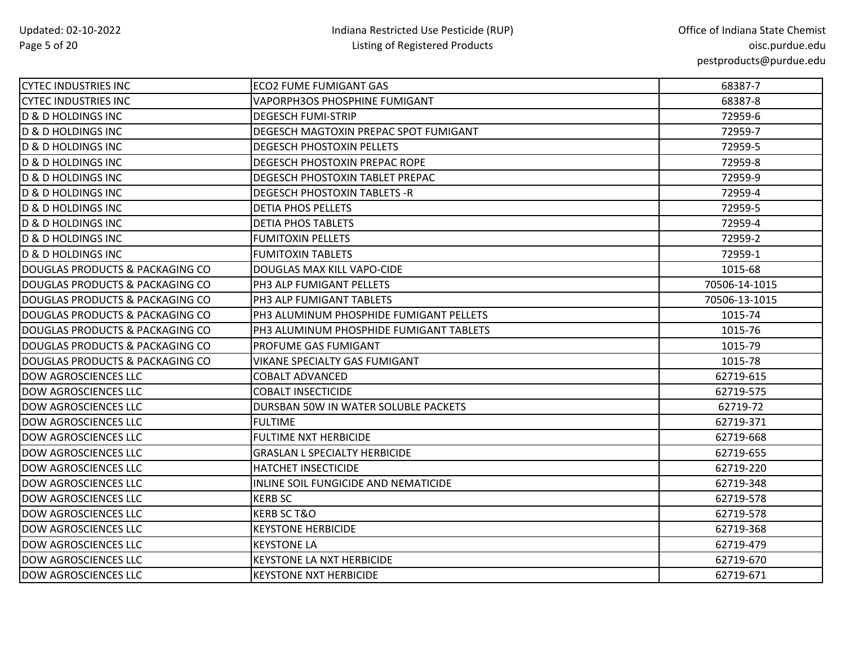| <b>CYTEC INDUSTRIES INC</b>      | ECO2 FUME FUMIGANT GAS                  | 68387-7       |
|----------------------------------|-----------------------------------------|---------------|
| <b>CYTEC INDUSTRIES INC</b>      | <b>VAPORPH3OS PHOSPHINE FUMIGANT</b>    | 68387-8       |
| <b>D &amp; D HOLDINGS INC</b>    | <b>DEGESCH FUMI-STRIP</b>               | 72959-6       |
| <b>D &amp; D HOLDINGS INC</b>    | DEGESCH MAGTOXIN PREPAC SPOT FUMIGANT   | 72959-7       |
| <b>D &amp; D HOLDINGS INC</b>    | <b>DEGESCH PHOSTOXIN PELLETS</b>        | 72959-5       |
| <b>D &amp; D HOLDINGS INC</b>    | DEGESCH PHOSTOXIN PREPAC ROPE           | 72959-8       |
| <b>D &amp; D HOLDINGS INC</b>    | DEGESCH PHOSTOXIN TABLET PREPAC         | 72959-9       |
| D & D HOLDINGS INC               | <b>DEGESCH PHOSTOXIN TABLETS -R</b>     | 72959-4       |
| <b>D &amp; D HOLDINGS INC</b>    | <b>DETIA PHOS PELLETS</b>               | 72959-5       |
| D & D HOLDINGS INC               | <b>DETIA PHOS TABLETS</b>               | 72959-4       |
| <b>D &amp; D HOLDINGS INC</b>    | <b>FUMITOXIN PELLETS</b>                | 72959-2       |
| D & D HOLDINGS INC               | <b>FUMITOXIN TABLETS</b>                | 72959-1       |
| IDOUGLAS PRODUCTS & PACKAGING CO | DOUGLAS MAX KILL VAPO-CIDE              | 1015-68       |
| DOUGLAS PRODUCTS & PACKAGING CO  | PH3 ALP FUMIGANT PELLETS                | 70506-14-1015 |
| DOUGLAS PRODUCTS & PACKAGING CO  | PH3 ALP FUMIGANT TABLETS                | 70506-13-1015 |
| DOUGLAS PRODUCTS & PACKAGING CO  | PH3 ALUMINUM PHOSPHIDE FUMIGANT PELLETS | 1015-74       |
| IDOUGLAS PRODUCTS & PACKAGING CO | PH3 ALUMINUM PHOSPHIDE FUMIGANT TABLETS | 1015-76       |
| DOUGLAS PRODUCTS & PACKAGING CO  | PROFUME GAS FUMIGANT                    | 1015-79       |
| DOUGLAS PRODUCTS & PACKAGING CO  | <b>VIKANE SPECIALTY GAS FUMIGANT</b>    | 1015-78       |
| <b>DOW AGROSCIENCES LLC</b>      | <b>COBALT ADVANCED</b>                  | 62719-615     |
| <b>DOW AGROSCIENCES LLC</b>      | <b>COBALT INSECTICIDE</b>               | 62719-575     |
| <b>DOW AGROSCIENCES LLC</b>      | DURSBAN 50W IN WATER SOLUBLE PACKETS    | 62719-72      |
| <b>DOW AGROSCIENCES LLC</b>      | <b>FULTIME</b>                          | 62719-371     |
| <b>DOW AGROSCIENCES LLC</b>      | <b>FULTIME NXT HERBICIDE</b>            | 62719-668     |
| <b>DOW AGROSCIENCES LLC</b>      | <b>GRASLAN L SPECIALTY HERBICIDE</b>    | 62719-655     |
| <b>DOW AGROSCIENCES LLC</b>      | <b>HATCHET INSECTICIDE</b>              | 62719-220     |
| <b>DOW AGROSCIENCES LLC</b>      | INLINE SOIL FUNGICIDE AND NEMATICIDE    | 62719-348     |
| <b>DOW AGROSCIENCES LLC</b>      | <b>KERB SC</b>                          | 62719-578     |
| <b>DOW AGROSCIENCES LLC</b>      | <b>KERB SC T&amp;O</b>                  | 62719-578     |
| <b>DOW AGROSCIENCES LLC</b>      | <b>KEYSTONE HERBICIDE</b>               | 62719-368     |
| <b>DOW AGROSCIENCES LLC</b>      | <b>KEYSTONE LA</b>                      | 62719-479     |
| <b>DOW AGROSCIENCES LLC</b>      | KEYSTONE LA NXT HERBICIDE               | 62719-670     |
| <b>DOW AGROSCIENCES LLC</b>      | <b>KEYSTONE NXT HERBICIDE</b>           | 62719-671     |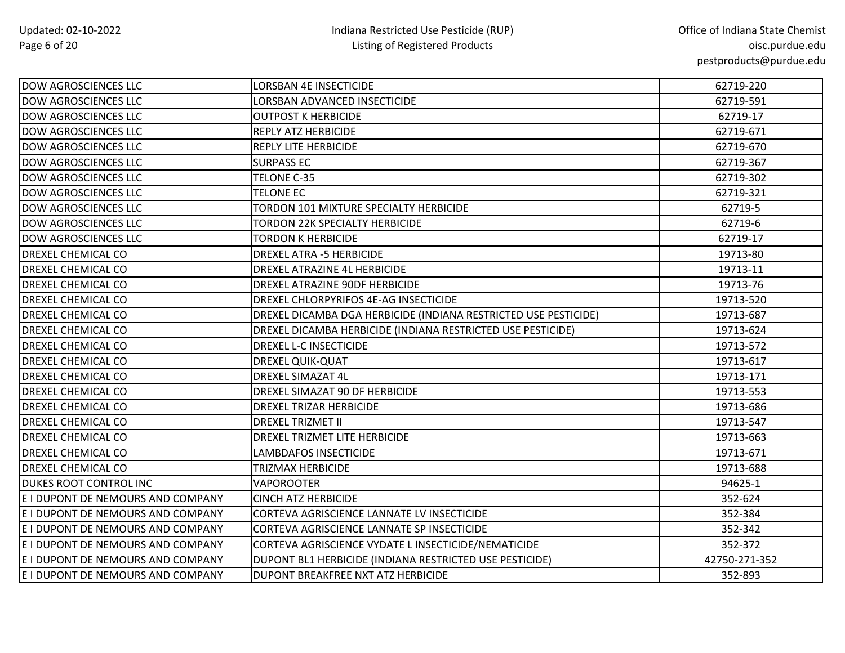| DOW AGROSCIENCES LLC              | <b>LORSBAN 4E INSECTICIDE</b>                                   | 62719-220     |
|-----------------------------------|-----------------------------------------------------------------|---------------|
| <b>DOW AGROSCIENCES LLC</b>       | LORSBAN ADVANCED INSECTICIDE                                    | 62719-591     |
| <b>DOW AGROSCIENCES LLC</b>       | <b>OUTPOST K HERBICIDE</b>                                      | 62719-17      |
| <b>DOW AGROSCIENCES LLC</b>       | REPLY ATZ HERBICIDE                                             | 62719-671     |
| <b>DOW AGROSCIENCES LLC</b>       | <b>REPLY LITE HERBICIDE</b>                                     | 62719-670     |
| <b>DOW AGROSCIENCES LLC</b>       | <b>SURPASS EC</b>                                               | 62719-367     |
| <b>DOW AGROSCIENCES LLC</b>       | TELONE C-35                                                     | 62719-302     |
| <b>DOW AGROSCIENCES LLC</b>       | <b>TELONE EC</b>                                                | 62719-321     |
| <b>DOW AGROSCIENCES LLC</b>       | TORDON 101 MIXTURE SPECIALTY HERBICIDE                          | 62719-5       |
| <b>DOW AGROSCIENCES LLC</b>       | <b>TORDON 22K SPECIALTY HERBICIDE</b>                           | 62719-6       |
| <b>DOW AGROSCIENCES LLC</b>       | TORDON K HERBICIDE                                              | 62719-17      |
| <b>DREXEL CHEMICAL CO</b>         | <b>DREXEL ATRA -5 HERBICIDE</b>                                 | 19713-80      |
| <b>DREXEL CHEMICAL CO</b>         | DREXEL ATRAZINE 4L HERBICIDE                                    | 19713-11      |
| <b>DREXEL CHEMICAL CO</b>         | DREXEL ATRAZINE 90DF HERBICIDE                                  | 19713-76      |
| DREXEL CHEMICAL CO                | DREXEL CHLORPYRIFOS 4E-AG INSECTICIDE                           | 19713-520     |
| <b>DREXEL CHEMICAL CO</b>         | DREXEL DICAMBA DGA HERBICIDE (INDIANA RESTRICTED USE PESTICIDE) | 19713-687     |
| <b>DREXEL CHEMICAL CO</b>         | DREXEL DICAMBA HERBICIDE (INDIANA RESTRICTED USE PESTICIDE)     | 19713-624     |
| <b>DREXEL CHEMICAL CO</b>         | DREXEL L-C INSECTICIDE                                          | 19713-572     |
| DREXEL CHEMICAL CO                | DREXEL QUIK-QUAT                                                | 19713-617     |
| <b>DREXEL CHEMICAL CO</b>         | DREXEL SIMAZAT 4L                                               | 19713-171     |
| <b>DREXEL CHEMICAL CO</b>         | DREXEL SIMAZAT 90 DF HERBICIDE                                  | 19713-553     |
| <b>DREXEL CHEMICAL CO</b>         | <b>DREXEL TRIZAR HERBICIDE</b>                                  | 19713-686     |
| <b>DREXEL CHEMICAL CO</b>         | <b>DREXEL TRIZMET II</b>                                        | 19713-547     |
| <b>DREXEL CHEMICAL CO</b>         | DREXEL TRIZMET LITE HERBICIDE                                   | 19713-663     |
| <b>DREXEL CHEMICAL CO</b>         | <b>LAMBDAFOS INSECTICIDE</b>                                    | 19713-671     |
| <b>DREXEL CHEMICAL CO</b>         | <b>TRIZMAX HERBICIDE</b>                                        | 19713-688     |
| <b>DUKES ROOT CONTROL INC</b>     | <b>VAPOROOTER</b>                                               | 94625-1       |
| E I DUPONT DE NEMOURS AND COMPANY | <b>CINCH ATZ HERBICIDE</b>                                      | 352-624       |
| E I DUPONT DE NEMOURS AND COMPANY | CORTEVA AGRISCIENCE LANNATE LV INSECTICIDE                      | 352-384       |
| E I DUPONT DE NEMOURS AND COMPANY | CORTEVA AGRISCIENCE LANNATE SP INSECTICIDE                      | 352-342       |
| E I DUPONT DE NEMOURS AND COMPANY | CORTEVA AGRISCIENCE VYDATE L INSECTICIDE/NEMATICIDE             | 352-372       |
| E I DUPONT DE NEMOURS AND COMPANY | DUPONT BL1 HERBICIDE (INDIANA RESTRICTED USE PESTICIDE)         | 42750-271-352 |
| E I DUPONT DE NEMOURS AND COMPANY | DUPONT BREAKFREE NXT ATZ HERBICIDE                              | 352-893       |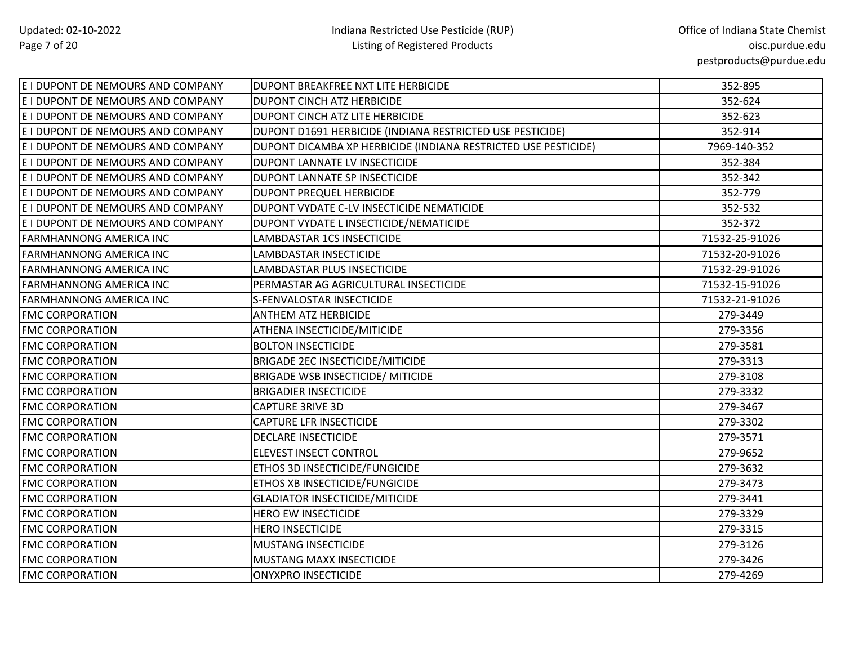| E I DUPONT DE NEMOURS AND COMPANY | IDUPONT BREAKFREE NXT LITE HERBICIDE                           | 352-895        |
|-----------------------------------|----------------------------------------------------------------|----------------|
| E I DUPONT DE NEMOURS AND COMPANY | <b>DUPONT CINCH ATZ HERBICIDE</b>                              | 352-624        |
| E I DUPONT DE NEMOURS AND COMPANY | DUPONT CINCH ATZ LITE HERBICIDE                                | 352-623        |
| E I DUPONT DE NEMOURS AND COMPANY | DUPONT D1691 HERBICIDE (INDIANA RESTRICTED USE PESTICIDE)      | 352-914        |
| E I DUPONT DE NEMOURS AND COMPANY | DUPONT DICAMBA XP HERBICIDE (INDIANA RESTRICTED USE PESTICIDE) | 7969-140-352   |
| E I DUPONT DE NEMOURS AND COMPANY | DUPONT LANNATE LV INSECTICIDE                                  | 352-384        |
| E I DUPONT DE NEMOURS AND COMPANY | DUPONT LANNATE SP INSECTICIDE                                  | 352-342        |
| E I DUPONT DE NEMOURS AND COMPANY | DUPONT PREQUEL HERBICIDE                                       | 352-779        |
| E I DUPONT DE NEMOURS AND COMPANY | DUPONT VYDATE C-LV INSECTICIDE NEMATICIDE                      | 352-532        |
| E I DUPONT DE NEMOURS AND COMPANY | DUPONT VYDATE L INSECTICIDE/NEMATICIDE                         | 352-372        |
| <b>FARMHANNONG AMERICA INC</b>    | LAMBDASTAR 1CS INSECTICIDE                                     | 71532-25-91026 |
| <b>FARMHANNONG AMERICA INC</b>    | LAMBDASTAR INSECTICIDE                                         | 71532-20-91026 |
| <b>FARMHANNONG AMERICA INC</b>    | LAMBDASTAR PLUS INSECTICIDE                                    | 71532-29-91026 |
| <b>FARMHANNONG AMERICA INC</b>    | PERMASTAR AG AGRICULTURAL INSECTICIDE                          | 71532-15-91026 |
| FARMHANNONG AMERICA INC           | S-FENVALOSTAR INSECTICIDE                                      | 71532-21-91026 |
| <b>FMC CORPORATION</b>            | <b>ANTHEM ATZ HERBICIDE</b>                                    | 279-3449       |
| <b>FMC CORPORATION</b>            | ATHENA INSECTICIDE/MITICIDE                                    | 279-3356       |
| <b>FMC CORPORATION</b>            | <b>BOLTON INSECTICIDE</b>                                      | 279-3581       |
| <b>FMC CORPORATION</b>            | <b>BRIGADE 2EC INSECTICIDE/MITICIDE</b>                        | 279-3313       |
| <b>FMC CORPORATION</b>            | <b>BRIGADE WSB INSECTICIDE/ MITICIDE</b>                       | 279-3108       |
| <b>FMC CORPORATION</b>            | <b>BRIGADIER INSECTICIDE</b>                                   | 279-3332       |
| <b>FMC CORPORATION</b>            | <b>CAPTURE 3RIVE 3D</b>                                        | 279-3467       |
| <b>FMC CORPORATION</b>            | <b>CAPTURE LFR INSECTICIDE</b>                                 | 279-3302       |
| <b>FMC CORPORATION</b>            | <b>DECLARE INSECTICIDE</b>                                     | 279-3571       |
| <b>FMC CORPORATION</b>            | ELEVEST INSECT CONTROL                                         | 279-9652       |
| <b>FMC CORPORATION</b>            | ETHOS 3D INSECTICIDE/FUNGICIDE                                 | 279-3632       |
| <b>FMC CORPORATION</b>            | ETHOS XB INSECTICIDE/FUNGICIDE                                 | 279-3473       |
| <b>FMC CORPORATION</b>            | <b>GLADIATOR INSECTICIDE/MITICIDE</b>                          | 279-3441       |
| <b>FMC CORPORATION</b>            | <b>HERO EW INSECTICIDE</b>                                     | 279-3329       |
| <b>FMC CORPORATION</b>            | <b>HERO INSECTICIDE</b>                                        | 279-3315       |
| <b>FMC CORPORATION</b>            | <b>MUSTANG INSECTICIDE</b>                                     | 279-3126       |
| <b>FMC CORPORATION</b>            | <b>MUSTANG MAXX INSECTICIDE</b>                                | 279-3426       |
| <b>FMC CORPORATION</b>            | <b>ONYXPRO INSECTICIDE</b>                                     | 279-4269       |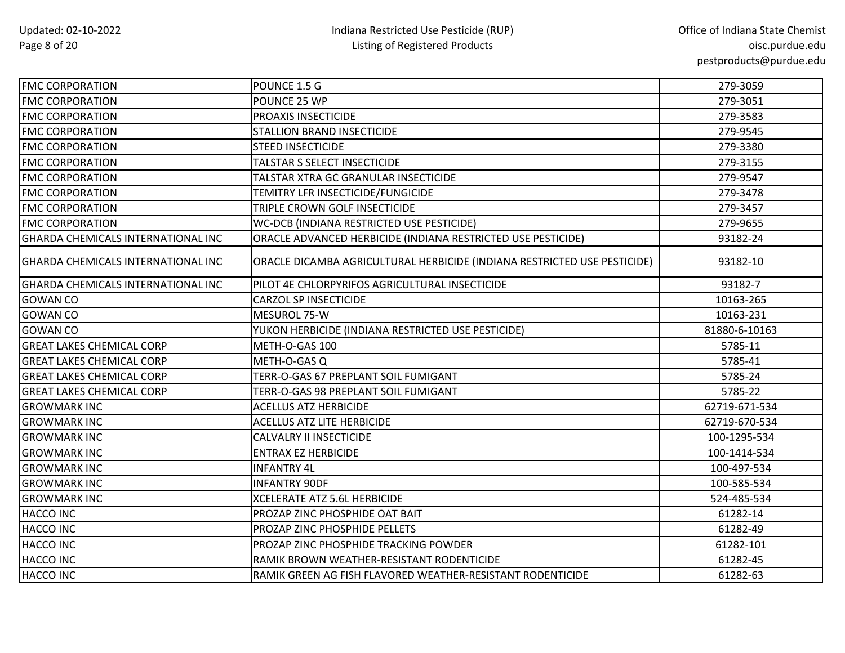| <b>FMC CORPORATION</b>                    | POUNCE 1.5 G                                                             | 279-3059      |
|-------------------------------------------|--------------------------------------------------------------------------|---------------|
| <b>FMC CORPORATION</b>                    | POUNCE 25 WP                                                             | 279-3051      |
| <b>FMC CORPORATION</b>                    | PROAXIS INSECTICIDE                                                      | 279-3583      |
| <b>FMC CORPORATION</b>                    | <b>STALLION BRAND INSECTICIDE</b>                                        | 279-9545      |
| <b>FMC CORPORATION</b>                    | <b>STEED INSECTICIDE</b>                                                 | 279-3380      |
| <b>FMC CORPORATION</b>                    | TALSTAR S SELECT INSECTICIDE                                             | 279-3155      |
| <b>FMC CORPORATION</b>                    | TALSTAR XTRA GC GRANULAR INSECTICIDE                                     | 279-9547      |
| <b>FMC CORPORATION</b>                    | TEMITRY LFR INSECTICIDE/FUNGICIDE                                        | 279-3478      |
| <b>FMC CORPORATION</b>                    | TRIPLE CROWN GOLF INSECTICIDE                                            | 279-3457      |
| <b>FMC CORPORATION</b>                    | WC-DCB (INDIANA RESTRICTED USE PESTICIDE)                                | 279-9655      |
| GHARDA CHEMICALS INTERNATIONAL INC        | ORACLE ADVANCED HERBICIDE (INDIANA RESTRICTED USE PESTICIDE)             | 93182-24      |
| <b>GHARDA CHEMICALS INTERNATIONAL INC</b> | ORACLE DICAMBA AGRICULTURAL HERBICIDE (INDIANA RESTRICTED USE PESTICIDE) | 93182-10      |
| GHARDA CHEMICALS INTERNATIONAL INC        | PILOT 4E CHLORPYRIFOS AGRICULTURAL INSECTICIDE                           | 93182-7       |
| <b>GOWAN CO</b>                           | <b>CARZOL SP INSECTICIDE</b>                                             | 10163-265     |
| <b>GOWAN CO</b>                           | MESUROL 75-W                                                             | 10163-231     |
| <b>GOWAN CO</b>                           | YUKON HERBICIDE (INDIANA RESTRICTED USE PESTICIDE)                       | 81880-6-10163 |
| <b>GREAT LAKES CHEMICAL CORP</b>          | METH-O-GAS 100                                                           | 5785-11       |
| <b>GREAT LAKES CHEMICAL CORP</b>          | METH-O-GAS Q                                                             | 5785-41       |
| <b>GREAT LAKES CHEMICAL CORP</b>          | TERR-O-GAS 67 PREPLANT SOIL FUMIGANT                                     | 5785-24       |
| <b>GREAT LAKES CHEMICAL CORP</b>          | TERR-O-GAS 98 PREPLANT SOIL FUMIGANT                                     | 5785-22       |
| <b>GROWMARK INC</b>                       | <b>ACELLUS ATZ HERBICIDE</b>                                             | 62719-671-534 |
| <b>GROWMARK INC</b>                       | <b>ACELLUS ATZ LITE HERBICIDE</b>                                        | 62719-670-534 |
| <b>GROWMARK INC</b>                       | <b>CALVALRY II INSECTICIDE</b>                                           | 100-1295-534  |
| <b>GROWMARK INC</b>                       | <b>ENTRAX EZ HERBICIDE</b>                                               | 100-1414-534  |
| <b>GROWMARK INC</b>                       | <b>INFANTRY 4L</b>                                                       | 100-497-534   |
| <b>GROWMARK INC</b>                       | <b>INFANTRY 90DF</b>                                                     | 100-585-534   |
| <b>GROWMARK INC</b>                       | <b>XCELERATE ATZ 5.6L HERBICIDE</b>                                      | 524-485-534   |
| HACCO INC                                 | PROZAP ZINC PHOSPHIDE OAT BAIT                                           | 61282-14      |
| HACCO INC                                 | PROZAP ZINC PHOSPHIDE PELLETS                                            | 61282-49      |
| <b>HACCO INC</b>                          | PROZAP ZINC PHOSPHIDE TRACKING POWDER                                    | 61282-101     |
| HACCO INC                                 | RAMIK BROWN WEATHER-RESISTANT RODENTICIDE                                | 61282-45      |
| <b>HACCO INC</b>                          | RAMIK GREEN AG FISH FLAVORED WEATHER-RESISTANT RODENTICIDE               | 61282-63      |
|                                           |                                                                          |               |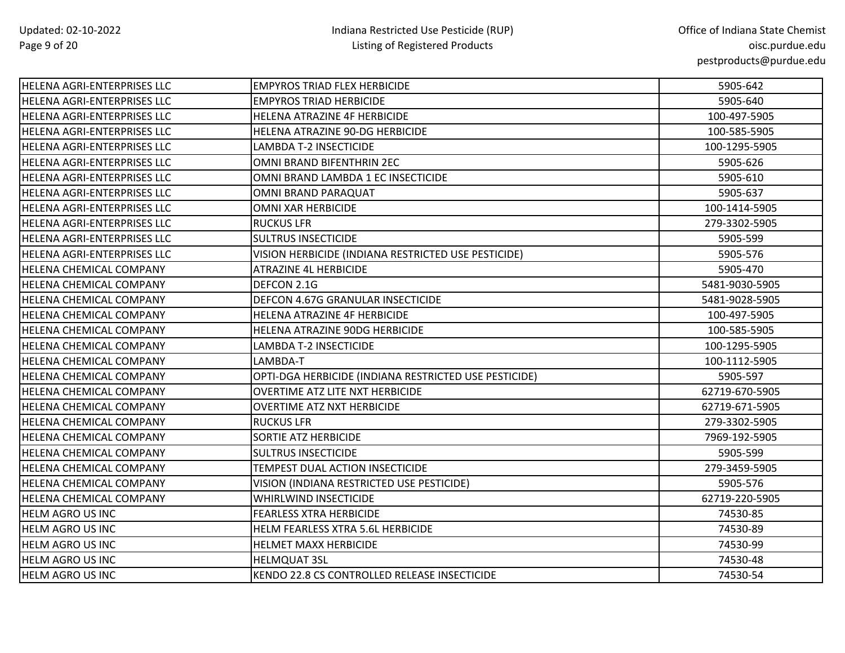| <b>HELENA AGRI-ENTERPRISES LLC</b> | EMPYROS TRIAD FLEX HERBICIDE                          | 5905-642       |
|------------------------------------|-------------------------------------------------------|----------------|
| <b>HELENA AGRI-ENTERPRISES LLC</b> | <b>EMPYROS TRIAD HERBICIDE</b>                        | 5905-640       |
| <b>HELENA AGRI-ENTERPRISES LLC</b> | <b>HELENA ATRAZINE 4F HERBICIDE</b>                   | 100-497-5905   |
| HELENA AGRI-ENTERPRISES LLC        | HELENA ATRAZINE 90-DG HERBICIDE                       | 100-585-5905   |
| HELENA AGRI-ENTERPRISES LLC        | LAMBDA T-2 INSECTICIDE                                | 100-1295-5905  |
| HELENA AGRI-ENTERPRISES LLC        | OMNI BRAND BIFENTHRIN 2EC                             | 5905-626       |
| HELENA AGRI-ENTERPRISES LLC        | OMNI BRAND LAMBDA 1 EC INSECTICIDE                    | 5905-610       |
| HELENA AGRI-ENTERPRISES LLC        | OMNI BRAND PARAQUAT                                   | 5905-637       |
| HELENA AGRI-ENTERPRISES LLC        | OMNI XAR HERBICIDE                                    | 100-1414-5905  |
| <b>HELENA AGRI-ENTERPRISES LLC</b> | <b>RUCKUS LFR</b>                                     | 279-3302-5905  |
| HELENA AGRI-ENTERPRISES LLC        | <b>SULTRUS INSECTICIDE</b>                            | 5905-599       |
| HELENA AGRI-ENTERPRISES LLC        | VISION HERBICIDE (INDIANA RESTRICTED USE PESTICIDE)   | 5905-576       |
| HELENA CHEMICAL COMPANY            | ATRAZINE 4L HERBICIDE                                 | 5905-470       |
| HELENA CHEMICAL COMPANY            | DEFCON 2.1G                                           | 5481-9030-5905 |
| HELENA CHEMICAL COMPANY            | DEFCON 4.67G GRANULAR INSECTICIDE                     | 5481-9028-5905 |
| HELENA CHEMICAL COMPANY            | <b>HELENA ATRAZINE 4F HERBICIDE</b>                   | 100-497-5905   |
| HELENA CHEMICAL COMPANY            | HELENA ATRAZINE 90DG HERBICIDE                        | 100-585-5905   |
| <b>HELENA CHEMICAL COMPANY</b>     | LAMBDA T-2 INSECTICIDE                                | 100-1295-5905  |
| HELENA CHEMICAL COMPANY            | LAMBDA-T                                              | 100-1112-5905  |
| HELENA CHEMICAL COMPANY            | OPTI-DGA HERBICIDE (INDIANA RESTRICTED USE PESTICIDE) | 5905-597       |
| HELENA CHEMICAL COMPANY            | <b>OVERTIME ATZ LITE NXT HERBICIDE</b>                | 62719-670-5905 |
| HELENA CHEMICAL COMPANY            | OVERTIME ATZ NXT HERBICIDE                            | 62719-671-5905 |
| <b>HELENA CHEMICAL COMPANY</b>     | <b>RUCKUS LFR</b>                                     | 279-3302-5905  |
| HELENA CHEMICAL COMPANY            | <b>SORTIE ATZ HERBICIDE</b>                           | 7969-192-5905  |
| HELENA CHEMICAL COMPANY            | <b>SULTRUS INSECTICIDE</b>                            | 5905-599       |
| HELENA CHEMICAL COMPANY            | TEMPEST DUAL ACTION INSECTICIDE                       | 279-3459-5905  |
| HELENA CHEMICAL COMPANY            | VISION (INDIANA RESTRICTED USE PESTICIDE)             | 5905-576       |
| HELENA CHEMICAL COMPANY            | <b>WHIRLWIND INSECTICIDE</b>                          | 62719-220-5905 |
| HELM AGRO US INC                   | <b>FEARLESS XTRA HERBICIDE</b>                        | 74530-85       |
| <b>HELM AGRO US INC</b>            | HELM FEARLESS XTRA 5.6L HERBICIDE                     | 74530-89       |
| HELM AGRO US INC                   | <b>HELMET MAXX HERBICIDE</b>                          | 74530-99       |
| HELM AGRO US INC                   | <b>HELMQUAT 3SL</b>                                   | 74530-48       |
| HELM AGRO US INC                   | KENDO 22.8 CS CONTROLLED RELEASE INSECTICIDE          | 74530-54       |
|                                    |                                                       |                |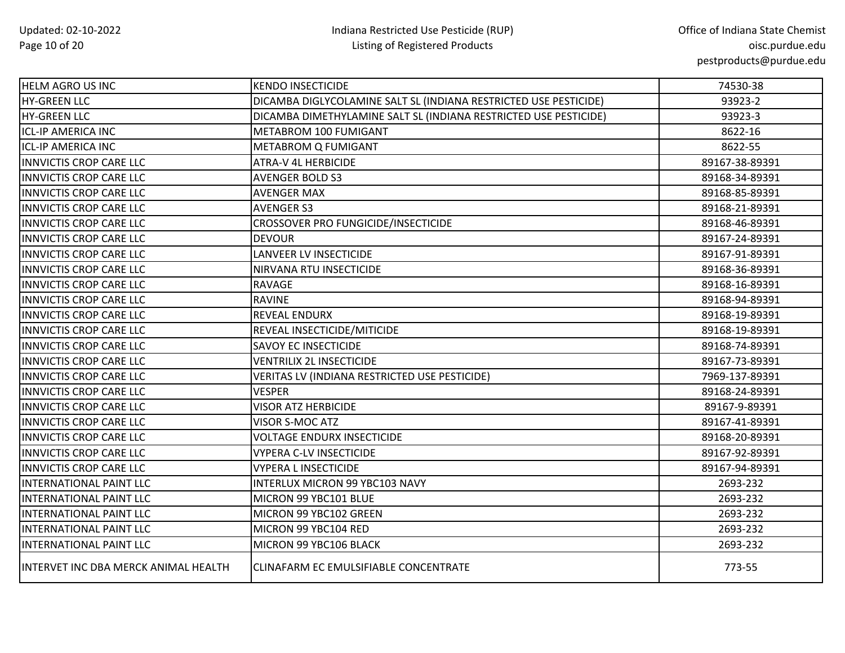| <b>HELM AGRO US INC</b>              | <b>KENDO INSECTICIDE</b>                                         | 74530-38       |
|--------------------------------------|------------------------------------------------------------------|----------------|
| HY-GREEN LLC                         | DICAMBA DIGLYCOLAMINE SALT SL (INDIANA RESTRICTED USE PESTICIDE) | 93923-2        |
| <b>HY-GREEN LLC</b>                  | DICAMBA DIMETHYLAMINE SALT SL (INDIANA RESTRICTED USE PESTICIDE) | 93923-3        |
| <b>ICL-IP AMERICA INC</b>            | METABROM 100 FUMIGANT                                            | 8622-16        |
| <b>ICL-IP AMERICA INC</b>            | METABROM Q FUMIGANT                                              | 8622-55        |
| INNVICTIS CROP CARE LLC              | ATRA-V 4L HERBICIDE                                              | 89167-38-89391 |
| <b>INNVICTIS CROP CARE LLC</b>       | <b>AVENGER BOLD S3</b>                                           | 89168-34-89391 |
| <b>INNVICTIS CROP CARE LLC</b>       | <b>AVENGER MAX</b>                                               | 89168-85-89391 |
| <b>INNVICTIS CROP CARE LLC</b>       | <b>AVENGER S3</b>                                                | 89168-21-89391 |
| <b>INNVICTIS CROP CARE LLC</b>       | CROSSOVER PRO FUNGICIDE/INSECTICIDE                              | 89168-46-89391 |
| <b>INNVICTIS CROP CARE LLC</b>       | <b>DEVOUR</b>                                                    | 89167-24-89391 |
| <b>INNVICTIS CROP CARE LLC</b>       | LANVEER LV INSECTICIDE                                           | 89167-91-89391 |
| INNVICTIS CROP CARE LLC              | NIRVANA RTU INSECTICIDE                                          | 89168-36-89391 |
| <b>INNVICTIS CROP CARE LLC</b>       | RAVAGE                                                           | 89168-16-89391 |
| <b>INNVICTIS CROP CARE LLC</b>       | <b>RAVINE</b>                                                    | 89168-94-89391 |
| <b>INNVICTIS CROP CARE LLC</b>       | REVEAL ENDURX                                                    | 89168-19-89391 |
| INNVICTIS CROP CARE LLC              | REVEAL INSECTICIDE/MITICIDE                                      | 89168-19-89391 |
| <b>INNVICTIS CROP CARE LLC</b>       | SAVOY EC INSECTICIDE                                             | 89168-74-89391 |
| <b>INNVICTIS CROP CARE LLC</b>       | <b>VENTRILIX 2L INSECTICIDE</b>                                  | 89167-73-89391 |
| <b>INNVICTIS CROP CARE LLC</b>       | VERITAS LV (INDIANA RESTRICTED USE PESTICIDE)                    | 7969-137-89391 |
| <b>INNVICTIS CROP CARE LLC</b>       | <b>VESPER</b>                                                    | 89168-24-89391 |
| <b>INNVICTIS CROP CARE LLC</b>       | <b>VISOR ATZ HERBICIDE</b>                                       | 89167-9-89391  |
| <b>INNVICTIS CROP CARE LLC</b>       | <b>VISOR S-MOC ATZ</b>                                           | 89167-41-89391 |
| INNVICTIS CROP CARE LLC              | <b>VOLTAGE ENDURX INSECTICIDE</b>                                | 89168-20-89391 |
| <b>INNVICTIS CROP CARE LLC</b>       | <b>VYPERA C-LV INSECTICIDE</b>                                   | 89167-92-89391 |
| <b>INNVICTIS CROP CARE LLC</b>       | <b>VYPERA L INSECTICIDE</b>                                      | 89167-94-89391 |
| INTERNATIONAL PAINT LLC              | INTERLUX MICRON 99 YBC103 NAVY                                   | 2693-232       |
| INTERNATIONAL PAINT LLC              | MICRON 99 YBC101 BLUE                                            | 2693-232       |
| INTERNATIONAL PAINT LLC              | MICRON 99 YBC102 GREEN                                           | 2693-232       |
| INTERNATIONAL PAINT LLC              | MICRON 99 YBC104 RED                                             | 2693-232       |
| INTERNATIONAL PAINT LLC              | MICRON 99 YBC106 BLACK                                           | 2693-232       |
| INTERVET INC DBA MERCK ANIMAL HEALTH | CLINAFARM EC EMULSIFIABLE CONCENTRATE                            | 773-55         |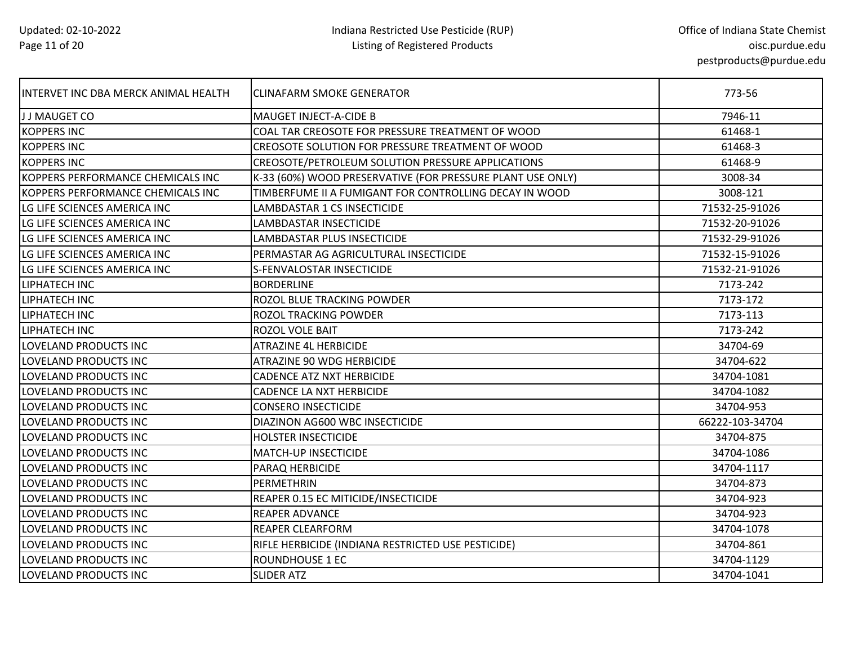| INTERVET INC DBA MERCK ANIMAL HEALTH | CLINAFARM SMOKE GENERATOR                                  | 773-56          |
|--------------------------------------|------------------------------------------------------------|-----------------|
| J J MAUGET CO                        | MAUGET INJECT-A-CIDE B                                     | 7946-11         |
| <b>KOPPERS INC</b>                   | COAL TAR CREOSOTE FOR PRESSURE TREATMENT OF WOOD           | 61468-1         |
| <b>KOPPERS INC</b>                   | CREOSOTE SOLUTION FOR PRESSURE TREATMENT OF WOOD           | 61468-3         |
| <b>KOPPERS INC</b>                   | CREOSOTE/PETROLEUM SOLUTION PRESSURE APPLICATIONS          | 61468-9         |
| KOPPERS PERFORMANCE CHEMICALS INC    | K-33 (60%) WOOD PRESERVATIVE (FOR PRESSURE PLANT USE ONLY) | 3008-34         |
| KOPPERS PERFORMANCE CHEMICALS INC    | TIMBERFUME II A FUMIGANT FOR CONTROLLING DECAY IN WOOD     | 3008-121        |
| LG LIFE SCIENCES AMERICA INC         | LAMBDASTAR 1 CS INSECTICIDE                                | 71532-25-91026  |
| LG LIFE SCIENCES AMERICA INC         | LAMBDASTAR INSECTICIDE                                     | 71532-20-91026  |
| LG LIFE SCIENCES AMERICA INC         | <b>LAMBDASTAR PLUS INSECTICIDE</b>                         | 71532-29-91026  |
| LG LIFE SCIENCES AMERICA INC         | PERMASTAR AG AGRICULTURAL INSECTICIDE                      | 71532-15-91026  |
| LG LIFE SCIENCES AMERICA INC         | S-FENVALOSTAR INSECTICIDE                                  | 71532-21-91026  |
| <b>LIPHATECH INC</b>                 | <b>BORDERLINE</b>                                          | 7173-242        |
| LIPHATECH INC                        | ROZOL BLUE TRACKING POWDER                                 | 7173-172        |
| LIPHATECH INC                        | ROZOL TRACKING POWDER                                      | 7173-113        |
| LIPHATECH INC                        | ROZOL VOLE BAIT                                            | 7173-242        |
| LOVELAND PRODUCTS INC                | <b>ATRAZINE 4L HERBICIDE</b>                               | 34704-69        |
| LOVELAND PRODUCTS INC                | ATRAZINE 90 WDG HERBICIDE                                  | 34704-622       |
| LOVELAND PRODUCTS INC                | <b>CADENCE ATZ NXT HERBICIDE</b>                           | 34704-1081      |
| <b>LOVELAND PRODUCTS INC</b>         | CADENCE LA NXT HERBICIDE                                   | 34704-1082      |
| LOVELAND PRODUCTS INC                | <b>CONSERO INSECTICIDE</b>                                 | 34704-953       |
| LOVELAND PRODUCTS INC                | DIAZINON AG600 WBC INSECTICIDE                             | 66222-103-34704 |
| LOVELAND PRODUCTS INC                | <b>HOLSTER INSECTICIDE</b>                                 | 34704-875       |
| LOVELAND PRODUCTS INC                | MATCH-UP INSECTICIDE                                       | 34704-1086      |
| LOVELAND PRODUCTS INC                | PARAQ HERBICIDE                                            | 34704-1117      |
| <b>LOVELAND PRODUCTS INC</b>         | PERMETHRIN                                                 | 34704-873       |
| LOVELAND PRODUCTS INC                | REAPER 0.15 EC MITICIDE/INSECTICIDE                        | 34704-923       |
| LOVELAND PRODUCTS INC                | REAPER ADVANCE                                             | 34704-923       |
| <b>LOVELAND PRODUCTS INC</b>         | <b>REAPER CLEARFORM</b>                                    | 34704-1078      |
| LOVELAND PRODUCTS INC                | RIFLE HERBICIDE (INDIANA RESTRICTED USE PESTICIDE)         | 34704-861       |
| <b>LOVELAND PRODUCTS INC</b>         | ROUNDHOUSE 1 EC                                            | 34704-1129      |
| LOVELAND PRODUCTS INC                | <b>SLIDER ATZ</b>                                          | 34704-1041      |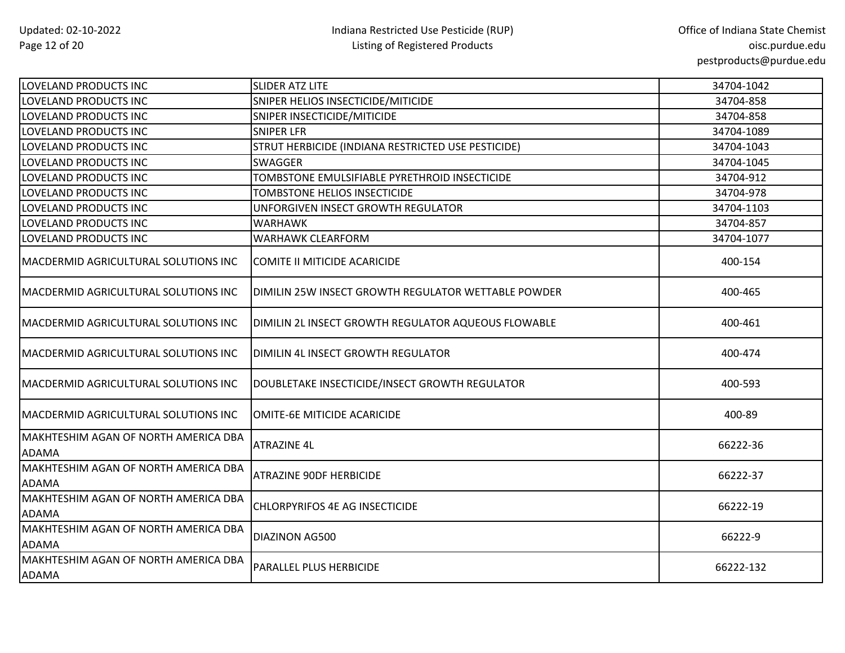| LOVELAND PRODUCTS INC                                | <b>SLIDER ATZ LITE</b>                              | 34704-1042 |
|------------------------------------------------------|-----------------------------------------------------|------------|
| LOVELAND PRODUCTS INC                                | SNIPER HELIOS INSECTICIDE/MITICIDE                  | 34704-858  |
| LOVELAND PRODUCTS INC                                | SNIPER INSECTICIDE/MITICIDE                         | 34704-858  |
| LOVELAND PRODUCTS INC                                | <b>SNIPER LFR</b>                                   | 34704-1089 |
| LOVELAND PRODUCTS INC                                | STRUT HERBICIDE (INDIANA RESTRICTED USE PESTICIDE)  | 34704-1043 |
| LOVELAND PRODUCTS INC                                | <b>SWAGGER</b>                                      | 34704-1045 |
| LOVELAND PRODUCTS INC                                | TOMBSTONE EMULSIFIABLE PYRETHROID INSECTICIDE       | 34704-912  |
| LOVELAND PRODUCTS INC                                | TOMBSTONE HELIOS INSECTICIDE                        | 34704-978  |
| LOVELAND PRODUCTS INC                                | UNFORGIVEN INSECT GROWTH REGULATOR                  | 34704-1103 |
| LOVELAND PRODUCTS INC                                | <b>WARHAWK</b>                                      | 34704-857  |
| LOVELAND PRODUCTS INC                                | <b>WARHAWK CLEARFORM</b>                            | 34704-1077 |
| MACDERMID AGRICULTURAL SOLUTIONS INC                 | COMITE II MITICIDE ACARICIDE                        | 400-154    |
| <b>MACDERMID AGRICULTURAL SOLUTIONS INC</b>          | DIMILIN 25W INSECT GROWTH REGULATOR WETTABLE POWDER | 400-465    |
| MACDERMID AGRICULTURAL SOLUTIONS INC                 | DIMILIN 2L INSECT GROWTH REGULATOR AQUEOUS FLOWABLE | 400-461    |
| MACDERMID AGRICULTURAL SOLUTIONS INC                 | DIMILIN 4L INSECT GROWTH REGULATOR                  | 400-474    |
| MACDERMID AGRICULTURAL SOLUTIONS INC                 | DOUBLETAKE INSECTICIDE/INSECT GROWTH REGULATOR      | 400-593    |
| MACDERMID AGRICULTURAL SOLUTIONS INC                 | OMITE-6E MITICIDE ACARICIDE                         | 400-89     |
| MAKHTESHIM AGAN OF NORTH AMERICA DBA<br><b>ADAMA</b> | <b>ATRAZINE 4L</b>                                  | 66222-36   |
| MAKHTESHIM AGAN OF NORTH AMERICA DBA<br><b>ADAMA</b> | <b>ATRAZINE 90DF HERBICIDE</b>                      | 66222-37   |
| MAKHTESHIM AGAN OF NORTH AMERICA DBA<br><b>ADAMA</b> | CHLORPYRIFOS 4E AG INSECTICIDE                      | 66222-19   |
| MAKHTESHIM AGAN OF NORTH AMERICA DBA<br><b>ADAMA</b> | <b>DIAZINON AG500</b>                               | 66222-9    |
| MAKHTESHIM AGAN OF NORTH AMERICA DBA<br><b>ADAMA</b> | <b>PARALLEL PLUS HERBICIDE</b>                      | 66222-132  |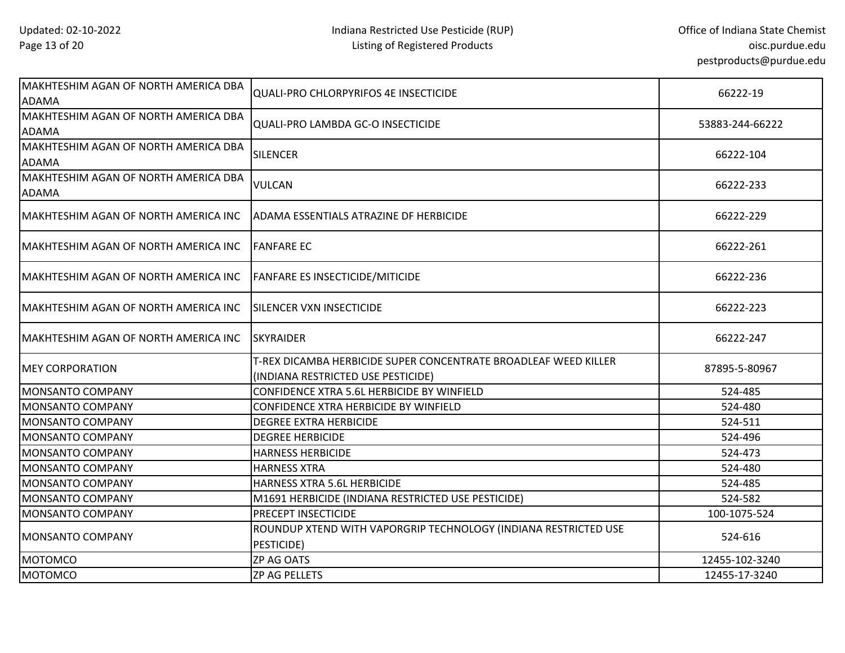| MAKHTESHIM AGAN OF NORTH AMERICA DBA<br><b>ADAMA</b> | <b>QUALI-PRO CHLORPYRIFOS 4E INSECTICIDE</b>                                                          | 66222-19        |
|------------------------------------------------------|-------------------------------------------------------------------------------------------------------|-----------------|
| MAKHTESHIM AGAN OF NORTH AMERICA DBA<br><b>ADAMA</b> | QUALI-PRO LAMBDA GC-O INSECTICIDE                                                                     | 53883-244-66222 |
| MAKHTESHIM AGAN OF NORTH AMERICA DBA<br><b>ADAMA</b> | <b>SILENCER</b>                                                                                       | 66222-104       |
| MAKHTESHIM AGAN OF NORTH AMERICA DBA<br><b>ADAMA</b> | <b>VULCAN</b>                                                                                         | 66222-233       |
| MAKHTESHIM AGAN OF NORTH AMERICA INC                 | ADAMA ESSENTIALS ATRAZINE DF HERBICIDE                                                                | 66222-229       |
| MAKHTESHIM AGAN OF NORTH AMERICA INC                 | <b>FANFARE EC</b>                                                                                     | 66222-261       |
| MAKHTESHIM AGAN OF NORTH AMERICA INC                 | <b>FANFARE ES INSECTICIDE/MITICIDE</b>                                                                | 66222-236       |
| MAKHTESHIM AGAN OF NORTH AMERICA INC                 | <b>SILENCER VXN INSECTICIDE</b>                                                                       | 66222-223       |
| MAKHTESHIM AGAN OF NORTH AMERICA INC                 | <b>SKYRAIDER</b>                                                                                      | 66222-247       |
| <b>MEY CORPORATION</b>                               | T-REX DICAMBA HERBICIDE SUPER CONCENTRATE BROADLEAF WEED KILLER<br>(INDIANA RESTRICTED USE PESTICIDE) | 87895-5-80967   |
| MONSANTO COMPANY                                     | CONFIDENCE XTRA 5.6L HERBICIDE BY WINFIELD                                                            | 524-485         |
| <b>MONSANTO COMPANY</b>                              | CONFIDENCE XTRA HERBICIDE BY WINFIELD                                                                 | 524-480         |
| <b>MONSANTO COMPANY</b>                              | <b>DEGREE EXTRA HERBICIDE</b>                                                                         | 524-511         |
| <b>MONSANTO COMPANY</b>                              | <b>DEGREE HERBICIDE</b>                                                                               | 524-496         |
| MONSANTO COMPANY                                     | <b>HARNESS HERBICIDE</b>                                                                              | 524-473         |
| <b>MONSANTO COMPANY</b>                              | <b>HARNESS XTRA</b>                                                                                   | 524-480         |
| MONSANTO COMPANY                                     | HARNESS XTRA 5.6L HERBICIDE                                                                           | 524-485         |
| MONSANTO COMPANY                                     | M1691 HERBICIDE (INDIANA RESTRICTED USE PESTICIDE)                                                    | 524-582         |
| MONSANTO COMPANY                                     | <b>PRECEPT INSECTICIDE</b>                                                                            | 100-1075-524    |
| <b>MONSANTO COMPANY</b>                              | ROUNDUP XTEND WITH VAPORGRIP TECHNOLOGY (INDIANA RESTRICTED USE<br>PESTICIDE)                         | 524-616         |
| <b>MOTOMCO</b>                                       | <b>ZP AG OATS</b>                                                                                     | 12455-102-3240  |
| <b>MOTOMCO</b>                                       | ZP AG PELLETS                                                                                         | 12455-17-3240   |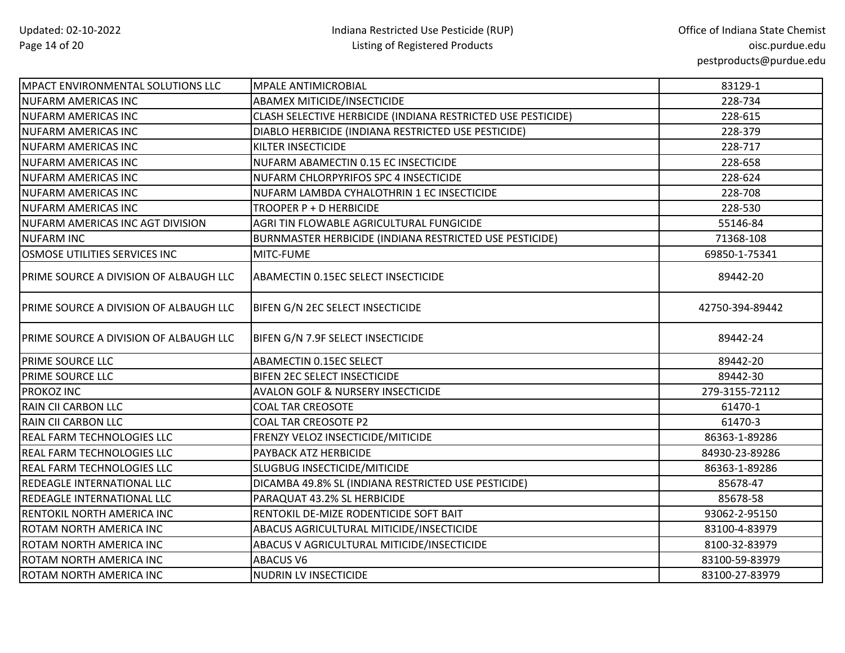| <b>MPACT ENVIRONMENTAL SOLUTIONS LLC</b>      | <b>MPALE ANTIMICROBIAL</b>                                   | 83129-1         |
|-----------------------------------------------|--------------------------------------------------------------|-----------------|
| <b>NUFARM AMERICAS INC</b>                    | ABAMEX MITICIDE/INSECTICIDE                                  | 228-734         |
| <b>NUFARM AMERICAS INC</b>                    | CLASH SELECTIVE HERBICIDE (INDIANA RESTRICTED USE PESTICIDE) | 228-615         |
| <b>NUFARM AMERICAS INC</b>                    | DIABLO HERBICIDE (INDIANA RESTRICTED USE PESTICIDE)          | 228-379         |
| <b>NUFARM AMERICAS INC</b>                    | KILTER INSECTICIDE                                           | 228-717         |
| <b>NUFARM AMERICAS INC</b>                    | NUFARM ABAMECTIN 0.15 EC INSECTICIDE                         | 228-658         |
| <b>NUFARM AMERICAS INC</b>                    | NUFARM CHLORPYRIFOS SPC 4 INSECTICIDE                        | 228-624         |
| <b>INUFARM AMERICAS INC</b>                   | NUFARM LAMBDA CYHALOTHRIN 1 EC INSECTICIDE                   | 228-708         |
| <b>NUFARM AMERICAS INC</b>                    | TROOPER P + D HERBICIDE                                      | 228-530         |
| NUFARM AMERICAS INC AGT DIVISION              | AGRI TIN FLOWABLE AGRICULTURAL FUNGICIDE                     | 55146-84        |
| <b>NUFARM INC</b>                             | BURNMASTER HERBICIDE (INDIANA RESTRICTED USE PESTICIDE)      | 71368-108       |
| OSMOSE UTILITIES SERVICES INC                 | MITC-FUME                                                    | 69850-1-75341   |
| PRIME SOURCE A DIVISION OF ALBAUGH LLC        | ABAMECTIN 0.15EC SELECT INSECTICIDE                          | 89442-20        |
| PRIME SOURCE A DIVISION OF ALBAUGH LLC        | BIFEN G/N 2EC SELECT INSECTICIDE                             | 42750-394-89442 |
| <b>PRIME SOURCE A DIVISION OF ALBAUGH LLC</b> | BIFEN G/N 7.9F SELECT INSECTICIDE                            | 89442-24        |
| <b>PRIME SOURCE LLC</b>                       | ABAMECTIN 0.15EC SELECT                                      | 89442-20        |
| <b>PRIME SOURCE LLC</b>                       | BIFEN 2EC SELECT INSECTICIDE                                 | 89442-30        |
| <b>PROKOZ INC</b>                             | <b>AVALON GOLF &amp; NURSERY INSECTICIDE</b>                 | 279-3155-72112  |
| RAIN CII CARBON LLC                           | <b>COAL TAR CREOSOTE</b>                                     | 61470-1         |
| RAIN CII CARBON LLC                           | <b>COAL TAR CREOSOTE P2</b>                                  | 61470-3         |
| <b>REAL FARM TECHNOLOGIES LLC</b>             | FRENZY VELOZ INSECTICIDE/MITICIDE                            | 86363-1-89286   |
| <b>REAL FARM TECHNOLOGIES LLC</b>             | PAYBACK ATZ HERBICIDE                                        | 84930-23-89286  |
| <b>REAL FARM TECHNOLOGIES LLC</b>             | SLUGBUG INSECTICIDE/MITICIDE                                 | 86363-1-89286   |
| <b>REDEAGLE INTERNATIONAL LLC</b>             | DICAMBA 49.8% SL (INDIANA RESTRICTED USE PESTICIDE)          | 85678-47        |
| <b>REDEAGLE INTERNATIONAL LLC</b>             | PARAQUAT 43.2% SL HERBICIDE                                  | 85678-58        |
| RENTOKIL NORTH AMERICA INC                    | RENTOKIL DE-MIZE RODENTICIDE SOFT BAIT                       | 93062-2-95150   |
| <b>ROTAM NORTH AMERICA INC</b>                | ABACUS AGRICULTURAL MITICIDE/INSECTICIDE                     | 83100-4-83979   |
| <b>ROTAM NORTH AMERICA INC</b>                | ABACUS V AGRICULTURAL MITICIDE/INSECTICIDE                   | 8100-32-83979   |
| <b>ROTAM NORTH AMERICA INC</b>                | <b>ABACUS V6</b>                                             | 83100-59-83979  |
| ROTAM NORTH AMERICA INC                       | NUDRIN LV INSECTICIDE                                        | 83100-27-83979  |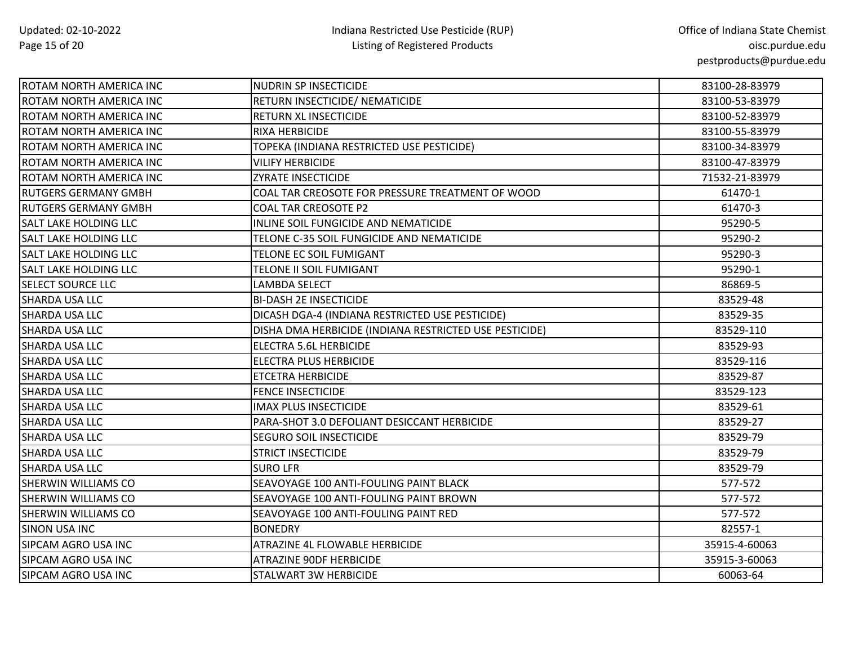| ROTAM NORTH AMERICA INC      | NUDRIN SP INSECTICIDE                                  | 83100-28-83979 |
|------------------------------|--------------------------------------------------------|----------------|
| ROTAM NORTH AMERICA INC      | RETURN INSECTICIDE/ NEMATICIDE                         | 83100-53-83979 |
| ROTAM NORTH AMERICA INC      | RETURN XL INSECTICIDE                                  | 83100-52-83979 |
| ROTAM NORTH AMERICA INC      | RIXA HERBICIDE                                         | 83100-55-83979 |
| ROTAM NORTH AMERICA INC      | TOPEKA (INDIANA RESTRICTED USE PESTICIDE)              | 83100-34-83979 |
| ROTAM NORTH AMERICA INC      | VILIFY HERBICIDE                                       | 83100-47-83979 |
| ROTAM NORTH AMERICA INC      | <b>ZYRATE INSECTICIDE</b>                              | 71532-21-83979 |
| <b>RUTGERS GERMANY GMBH</b>  | COAL TAR CREOSOTE FOR PRESSURE TREATMENT OF WOOD       | 61470-1        |
| <b>RUTGERS GERMANY GMBH</b>  | <b>COAL TAR CREOSOTE P2</b>                            | 61470-3        |
| <b>SALT LAKE HOLDING LLC</b> | INLINE SOIL FUNGICIDE AND NEMATICIDE                   | 95290-5        |
| SALT LAKE HOLDING LLC        | TELONE C-35 SOIL FUNGICIDE AND NEMATICIDE              | 95290-2        |
| <b>SALT LAKE HOLDING LLC</b> | TELONE EC SOIL FUMIGANT                                | 95290-3        |
| SALT LAKE HOLDING LLC        | TELONE II SOIL FUMIGANT                                | 95290-1        |
| <b>SELECT SOURCE LLC</b>     | <b>LAMBDA SELECT</b>                                   | 86869-5        |
| SHARDA USA LLC               | <b>BI-DASH 2E INSECTICIDE</b>                          | 83529-48       |
| SHARDA USA LLC               | DICASH DGA-4 (INDIANA RESTRICTED USE PESTICIDE)        | 83529-35       |
| SHARDA USA LLC               | DISHA DMA HERBICIDE (INDIANA RESTRICTED USE PESTICIDE) | 83529-110      |
| SHARDA USA LLC               | ELECTRA 5.6L HERBICIDE                                 | 83529-93       |
| SHARDA USA LLC               | <b>ELECTRA PLUS HERBICIDE</b>                          | 83529-116      |
| SHARDA USA LLC               | <b>ETCETRA HERBICIDE</b>                               | 83529-87       |
| SHARDA USA LLC               | <b>FENCE INSECTICIDE</b>                               | 83529-123      |
| SHARDA USA LLC               | <b>IMAX PLUS INSECTICIDE</b>                           | 83529-61       |
| SHARDA USA LLC               | PARA-SHOT 3.0 DEFOLIANT DESICCANT HERBICIDE            | 83529-27       |
| SHARDA USA LLC               | SEGURO SOIL INSECTICIDE                                | 83529-79       |
| SHARDA USA LLC               | <b>STRICT INSECTICIDE</b>                              | 83529-79       |
| SHARDA USA LLC               | <b>SURO LFR</b>                                        | 83529-79       |
| SHERWIN WILLIAMS CO          | SEAVOYAGE 100 ANTI-FOULING PAINT BLACK                 | 577-572        |
| SHERWIN WILLIAMS CO          | SEAVOYAGE 100 ANTI-FOULING PAINT BROWN                 | 577-572        |
| SHERWIN WILLIAMS CO          | SEAVOYAGE 100 ANTI-FOULING PAINT RED                   | 577-572        |
| <b>SINON USA INC</b>         | <b>BONEDRY</b>                                         | 82557-1        |
| SIPCAM AGRO USA INC          | ATRAZINE 4L FLOWABLE HERBICIDE                         | 35915-4-60063  |
| SIPCAM AGRO USA INC          | ATRAZINE 90DF HERBICIDE                                | 35915-3-60063  |
| SIPCAM AGRO USA INC          | STALWART 3W HERBICIDE                                  | 60063-64       |
|                              |                                                        |                |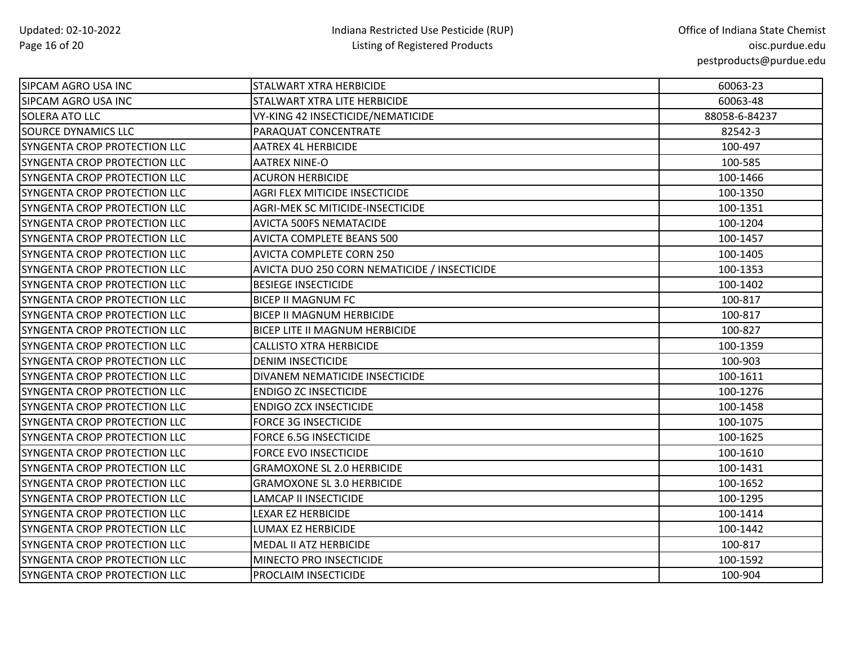| SIPCAM AGRO USA INC          | <b>STALWART XTRA HERBICIDE</b>               | 60063-23      |
|------------------------------|----------------------------------------------|---------------|
| SIPCAM AGRO USA INC          | <b>STALWART XTRA LITE HERBICIDE</b>          | 60063-48      |
| <b>SOLERA ATO LLC</b>        | VY-KING 42 INSECTICIDE/NEMATICIDE            | 88058-6-84237 |
| <b>SOURCE DYNAMICS LLC</b>   | PARAQUAT CONCENTRATE                         | 82542-3       |
| SYNGENTA CROP PROTECTION LLC | <b>AATREX 4L HERBICIDE</b>                   | 100-497       |
| SYNGENTA CROP PROTECTION LLC | <b>AATREX NINE-O</b>                         | 100-585       |
| SYNGENTA CROP PROTECTION LLC | <b>ACURON HERBICIDE</b>                      | 100-1466      |
| SYNGENTA CROP PROTECTION LLC | AGRI FLEX MITICIDE INSECTICIDE               | 100-1350      |
| SYNGENTA CROP PROTECTION LLC | <b>AGRI-MEK SC MITICIDE-INSECTICIDE</b>      | 100-1351      |
| SYNGENTA CROP PROTECTION LLC | <b>AVICTA 500FS NEMATACIDE</b>               | 100-1204      |
| SYNGENTA CROP PROTECTION LLC | <b>AVICTA COMPLETE BEANS 500</b>             | 100-1457      |
| SYNGENTA CROP PROTECTION LLC | <b>AVICTA COMPLETE CORN 250</b>              | 100-1405      |
| SYNGENTA CROP PROTECTION LLC | AVICTA DUO 250 CORN NEMATICIDE / INSECTICIDE | 100-1353      |
| SYNGENTA CROP PROTECTION LLC | <b>BESIEGE INSECTICIDE</b>                   | 100-1402      |
| SYNGENTA CROP PROTECTION LLC | <b>BICEP II MAGNUM FC</b>                    | 100-817       |
| SYNGENTA CROP PROTECTION LLC | <b>BICEP II MAGNUM HERBICIDE</b>             | 100-817       |
| SYNGENTA CROP PROTECTION LLC | <b>BICEP LITE II MAGNUM HERBICIDE</b>        | 100-827       |
| SYNGENTA CROP PROTECTION LLC | <b>CALLISTO XTRA HERBICIDE</b>               | 100-1359      |
| SYNGENTA CROP PROTECTION LLC | <b>DENIM INSECTICIDE</b>                     | 100-903       |
| SYNGENTA CROP PROTECTION LLC | DIVANEM NEMATICIDE INSECTICIDE               | 100-1611      |
| SYNGENTA CROP PROTECTION LLC | <b>ENDIGO ZC INSECTICIDE</b>                 | 100-1276      |
| SYNGENTA CROP PROTECTION LLC | <b>ENDIGO ZCX INSECTICIDE</b>                | 100-1458      |
| SYNGENTA CROP PROTECTION LLC | <b>FORCE 3G INSECTICIDE</b>                  | 100-1075      |
| SYNGENTA CROP PROTECTION LLC | <b>FORCE 6.5G INSECTICIDE</b>                | 100-1625      |
| SYNGENTA CROP PROTECTION LLC | <b>FORCE EVO INSECTICIDE</b>                 | 100-1610      |
| SYNGENTA CROP PROTECTION LLC | <b>GRAMOXONE SL 2.0 HERBICIDE</b>            | 100-1431      |
| SYNGENTA CROP PROTECTION LLC | <b>GRAMOXONE SL 3.0 HERBICIDE</b>            | 100-1652      |
| SYNGENTA CROP PROTECTION LLC | <b>LAMCAP II INSECTICIDE</b>                 | 100-1295      |
| SYNGENTA CROP PROTECTION LLC | <b>LEXAR EZ HERBICIDE</b>                    | 100-1414      |
| SYNGENTA CROP PROTECTION LLC | LUMAX EZ HERBICIDE                           | 100-1442      |
| SYNGENTA CROP PROTECTION LLC | MEDAL II ATZ HERBICIDE                       | 100-817       |
| SYNGENTA CROP PROTECTION LLC | MINECTO PRO INSECTICIDE                      | 100-1592      |
| SYNGENTA CROP PROTECTION LLC | PROCLAIM INSECTICIDE                         | 100-904       |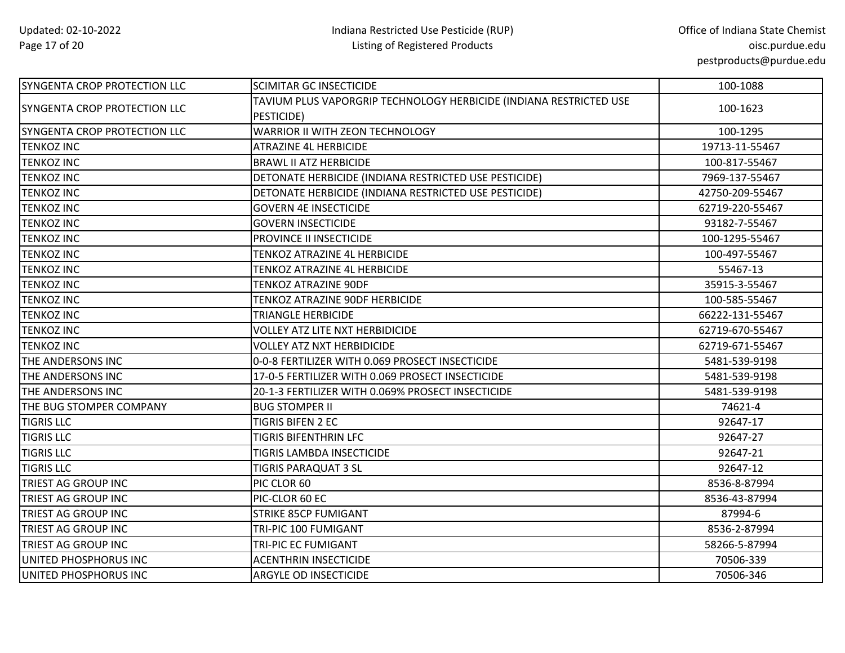| SYNGENTA CROP PROTECTION LLC        | <b>SCIMITAR GC INSECTICIDE</b>                                     | 100-1088        |
|-------------------------------------|--------------------------------------------------------------------|-----------------|
| <b>SYNGENTA CROP PROTECTION LLC</b> | TAVIUM PLUS VAPORGRIP TECHNOLOGY HERBICIDE (INDIANA RESTRICTED USE | 100-1623        |
|                                     | PESTICIDE)                                                         |                 |
| <b>SYNGENTA CROP PROTECTION LLC</b> | WARRIOR II WITH ZEON TECHNOLOGY                                    | 100-1295        |
| <b>TENKOZ INC</b>                   | <b>ATRAZINE 4L HERBICIDE</b>                                       | 19713-11-55467  |
| <b>TENKOZ INC</b>                   | <b>BRAWL II ATZ HERBICIDE</b>                                      | 100-817-55467   |
| <b>TENKOZ INC</b>                   | DETONATE HERBICIDE (INDIANA RESTRICTED USE PESTICIDE)              | 7969-137-55467  |
| <b>TENKOZ INC</b>                   | DETONATE HERBICIDE (INDIANA RESTRICTED USE PESTICIDE)              | 42750-209-55467 |
| <b>TENKOZ INC</b>                   | <b>GOVERN 4E INSECTICIDE</b>                                       | 62719-220-55467 |
| <b>TENKOZ INC</b>                   | <b>GOVERN INSECTICIDE</b>                                          | 93182-7-55467   |
| <b>TENKOZ INC</b>                   | PROVINCE II INSECTICIDE                                            | 100-1295-55467  |
| <b>TENKOZ INC</b>                   | TENKOZ ATRAZINE 4L HERBICIDE                                       | 100-497-55467   |
| <b>TENKOZ INC</b>                   | TENKOZ ATRAZINE 4L HERBICIDE                                       | 55467-13        |
| <b>TENKOZ INC</b>                   | <b>TENKOZ ATRAZINE 90DF</b>                                        | 35915-3-55467   |
| <b>TENKOZ INC</b>                   | TENKOZ ATRAZINE 90DF HERBICIDE                                     | 100-585-55467   |
| <b>TENKOZ INC</b>                   | TRIANGLE HERBICIDE                                                 | 66222-131-55467 |
| <b>TENKOZ INC</b>                   | <b>VOLLEY ATZ LITE NXT HERBIDICIDE</b>                             | 62719-670-55467 |
| <b>TENKOZ INC</b>                   | <b>VOLLEY ATZ NXT HERBIDICIDE</b>                                  | 62719-671-55467 |
| THE ANDERSONS INC                   | 0-0-8 FERTILIZER WITH 0.069 PROSECT INSECTICIDE                    | 5481-539-9198   |
| <b>THE ANDERSONS INC</b>            | 17-0-5 FERTILIZER WITH 0.069 PROSECT INSECTICIDE                   | 5481-539-9198   |
| THE ANDERSONS INC                   | 20-1-3 FERTILIZER WITH 0.069% PROSECT INSECTICIDE                  | 5481-539-9198   |
| THE BUG STOMPER COMPANY             | <b>BUG STOMPER II</b>                                              | 74621-4         |
| <b>TIGRIS LLC</b>                   | <b>TIGRIS BIFEN 2 EC</b>                                           | 92647-17        |
| <b>TIGRIS LLC</b>                   | <b>TIGRIS BIFENTHRIN LFC</b>                                       | 92647-27        |
| <b>TIGRIS LLC</b>                   | TIGRIS LAMBDA INSECTICIDE                                          | 92647-21        |
| <b>TIGRIS LLC</b>                   | <b>TIGRIS PARAQUAT 3 SL</b>                                        | 92647-12        |
| TRIEST AG GROUP INC                 | PIC CLOR 60                                                        | 8536-8-87994    |
| <b>TRIEST AG GROUP INC</b>          | PIC-CLOR 60 EC                                                     | 8536-43-87994   |
| <b>TRIEST AG GROUP INC</b>          | <b>STRIKE 85CP FUMIGANT</b>                                        | 87994-6         |
| <b>TRIEST AG GROUP INC</b>          | TRI-PIC 100 FUMIGANT                                               | 8536-2-87994    |
| <b>TRIEST AG GROUP INC</b>          | TRI-PIC EC FUMIGANT                                                | 58266-5-87994   |
| UNITED PHOSPHORUS INC               | <b>ACENTHRIN INSECTICIDE</b>                                       | 70506-339       |
| UNITED PHOSPHORUS INC               | ARGYLE OD INSECTICIDE                                              | 70506-346       |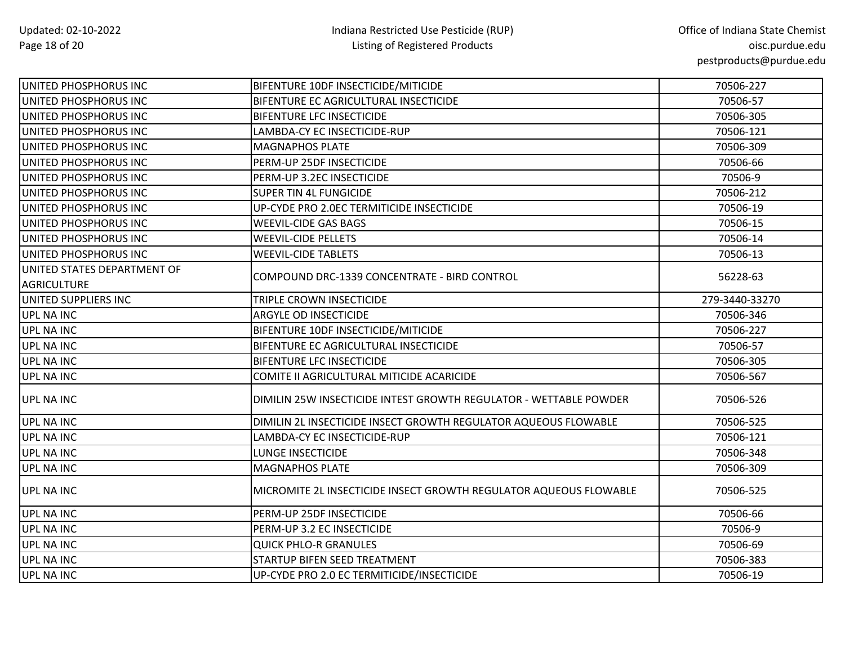| UNITED PHOSPHORUS INC                             | BIFENTURE 10DF INSECTICIDE/MITICIDE                               | 70506-227      |
|---------------------------------------------------|-------------------------------------------------------------------|----------------|
| UNITED PHOSPHORUS INC                             | BIFENTURE EC AGRICULTURAL INSECTICIDE                             | 70506-57       |
| UNITED PHOSPHORUS INC                             | <b>BIFENTURE LFC INSECTICIDE</b>                                  | 70506-305      |
| UNITED PHOSPHORUS INC                             | LAMBDA-CY EC INSECTICIDE-RUP                                      | 70506-121      |
| UNITED PHOSPHORUS INC                             | <b>MAGNAPHOS PLATE</b>                                            | 70506-309      |
| UNITED PHOSPHORUS INC                             | PERM-UP 25DF INSECTICIDE                                          | 70506-66       |
| UNITED PHOSPHORUS INC                             | PERM-UP 3.2EC INSECTICIDE                                         | 70506-9        |
| UNITED PHOSPHORUS INC                             | SUPER TIN 4L FUNGICIDE                                            | 70506-212      |
| UNITED PHOSPHORUS INC                             | UP-CYDE PRO 2.0EC TERMITICIDE INSECTICIDE                         | 70506-19       |
| UNITED PHOSPHORUS INC                             | <b>WEEVIL-CIDE GAS BAGS</b>                                       | 70506-15       |
| UNITED PHOSPHORUS INC                             | <b>WEEVIL-CIDE PELLETS</b>                                        | 70506-14       |
| UNITED PHOSPHORUS INC                             | <b>WEEVIL-CIDE TABLETS</b>                                        | 70506-13       |
| UNITED STATES DEPARTMENT OF<br><b>AGRICULTURE</b> | COMPOUND DRC-1339 CONCENTRATE - BIRD CONTROL                      | 56228-63       |
| UNITED SUPPLIERS INC                              | TRIPLE CROWN INSECTICIDE                                          | 279-3440-33270 |
| <b>UPL NA INC</b>                                 | ARGYLE OD INSECTICIDE                                             | 70506-346      |
| <b>UPL NA INC</b>                                 | BIFENTURE 10DF INSECTICIDE/MITICIDE                               | 70506-227      |
| UPL NA INC                                        | BIFENTURE EC AGRICULTURAL INSECTICIDE                             | 70506-57       |
| <b>UPL NA INC</b>                                 | BIFENTURE LFC INSECTICIDE                                         | 70506-305      |
| <b>UPL NA INC</b>                                 | COMITE II AGRICULTURAL MITICIDE ACARICIDE                         | 70506-567      |
| <b>UPL NA INC</b>                                 | DIMILIN 25W INSECTICIDE INTEST GROWTH REGULATOR - WETTABLE POWDER | 70506-526      |
| <b>UPL NA INC</b>                                 | DIMILIN 2L INSECTICIDE INSECT GROWTH REGULATOR AQUEOUS FLOWABLE   | 70506-525      |
| <b>UPL NA INC</b>                                 | LAMBDA-CY EC INSECTICIDE-RUP                                      | 70506-121      |
| <b>UPL NA INC</b>                                 | <b>LUNGE INSECTICIDE</b>                                          | 70506-348      |
| <b>UPL NA INC</b>                                 | <b>MAGNAPHOS PLATE</b>                                            | 70506-309      |
| <b>UPL NA INC</b>                                 | MICROMITE 2L INSECTICIDE INSECT GROWTH REGULATOR AQUEOUS FLOWABLE | 70506-525      |
| <b>UPL NA INC</b>                                 | PERM-UP 25DF INSECTICIDE                                          | 70506-66       |
| <b>UPL NA INC</b>                                 | PERM-UP 3.2 EC INSECTICIDE                                        | 70506-9        |
| <b>UPL NA INC</b>                                 | <b>QUICK PHLO-R GRANULES</b>                                      | 70506-69       |
| UPL NA INC                                        | STARTUP BIFEN SEED TREATMENT                                      | 70506-383      |
| <b>UPL NA INC</b>                                 | UP-CYDE PRO 2.0 EC TERMITICIDE/INSECTICIDE                        | 70506-19       |
|                                                   |                                                                   |                |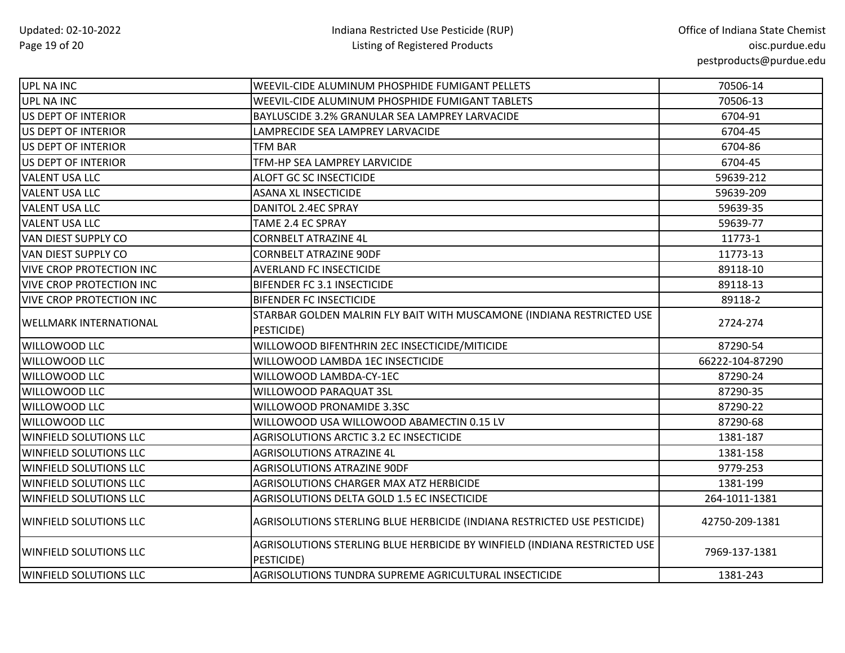| UPL NA INC                      | WEEVIL-CIDE ALUMINUM PHOSPHIDE FUMIGANT PELLETS                                         | 70506-14        |
|---------------------------------|-----------------------------------------------------------------------------------------|-----------------|
| UPL NA INC                      | WEEVIL-CIDE ALUMINUM PHOSPHIDE FUMIGANT TABLETS                                         | 70506-13        |
| US DEPT OF INTERIOR             | BAYLUSCIDE 3.2% GRANULAR SEA LAMPREY LARVACIDE                                          | 6704-91         |
| US DEPT OF INTERIOR             | LAMPRECIDE SEA LAMPREY LARVACIDE                                                        | 6704-45         |
| US DEPT OF INTERIOR             | <b>TFM BAR</b>                                                                          | 6704-86         |
| US DEPT OF INTERIOR             | TFM-HP SEA LAMPREY LARVICIDE                                                            | 6704-45         |
| <b>VALENT USA LLC</b>           | ALOFT GC SC INSECTICIDE                                                                 | 59639-212       |
| <b>VALENT USA LLC</b>           | <b>ASANA XL INSECTICIDE</b>                                                             | 59639-209       |
| <b>VALENT USA LLC</b>           | DANITOL 2.4EC SPRAY                                                                     | 59639-35        |
| <b>VALENT USA LLC</b>           | TAME 2.4 EC SPRAY                                                                       | 59639-77        |
| <b>VAN DIEST SUPPLY CO</b>      | <b>CORNBELT ATRAZINE 4L</b>                                                             | 11773-1         |
| VAN DIEST SUPPLY CO             | <b>CORNBELT ATRAZINE 90DF</b>                                                           | 11773-13        |
| <b>VIVE CROP PROTECTION INC</b> | <b>AVERLAND FC INSECTICIDE</b>                                                          | 89118-10        |
| <b>VIVE CROP PROTECTION INC</b> | BIFENDER FC 3.1 INSECTICIDE                                                             | 89118-13        |
| <b>VIVE CROP PROTECTION INC</b> | <b>BIFENDER FC INSECTICIDE</b>                                                          | 89118-2         |
|                                 | STARBAR GOLDEN MALRIN FLY BAIT WITH MUSCAMONE (INDIANA RESTRICTED USE                   | 2724-274        |
| <b>WELLMARK INTERNATIONAL</b>   | PESTICIDE)                                                                              |                 |
| <b>WILLOWOOD LLC</b>            | WILLOWOOD BIFENTHRIN 2EC INSECTICIDE/MITICIDE                                           | 87290-54        |
| <b>WILLOWOOD LLC</b>            | WILLOWOOD LAMBDA 1EC INSECTICIDE                                                        | 66222-104-87290 |
| <b>WILLOWOOD LLC</b>            | WILLOWOOD LAMBDA-CY-1EC                                                                 | 87290-24        |
| <b>WILLOWOOD LLC</b>            | WILLOWOOD PARAQUAT 3SL                                                                  | 87290-35        |
| <b>WILLOWOOD LLC</b>            | WILLOWOOD PRONAMIDE 3.3SC                                                               | 87290-22        |
| <b>WILLOWOOD LLC</b>            | WILLOWOOD USA WILLOWOOD ABAMECTIN 0.15 LV                                               | 87290-68        |
| <b>WINFIELD SOLUTIONS LLC</b>   | AGRISOLUTIONS ARCTIC 3.2 EC INSECTICIDE                                                 | 1381-187        |
| <b>WINFIELD SOLUTIONS LLC</b>   | <b>AGRISOLUTIONS ATRAZINE 4L</b>                                                        | 1381-158        |
| <b>WINFIELD SOLUTIONS LLC</b>   | <b>AGRISOLUTIONS ATRAZINE 90DF</b>                                                      | 9779-253        |
| <b>WINFIELD SOLUTIONS LLC</b>   | AGRISOLUTIONS CHARGER MAX ATZ HERBICIDE                                                 | 1381-199        |
| <b>WINFIELD SOLUTIONS LLC</b>   | AGRISOLUTIONS DELTA GOLD 1.5 EC INSECTICIDE                                             | 264-1011-1381   |
| <b>WINFIELD SOLUTIONS LLC</b>   | AGRISOLUTIONS STERLING BLUE HERBICIDE (INDIANA RESTRICTED USE PESTICIDE)                | 42750-209-1381  |
| <b>WINFIELD SOLUTIONS LLC</b>   | AGRISOLUTIONS STERLING BLUE HERBICIDE BY WINFIELD (INDIANA RESTRICTED USE<br>PESTICIDE) | 7969-137-1381   |
| <b>WINFIELD SOLUTIONS LLC</b>   | AGRISOLUTIONS TUNDRA SUPREME AGRICULTURAL INSECTICIDE                                   | 1381-243        |